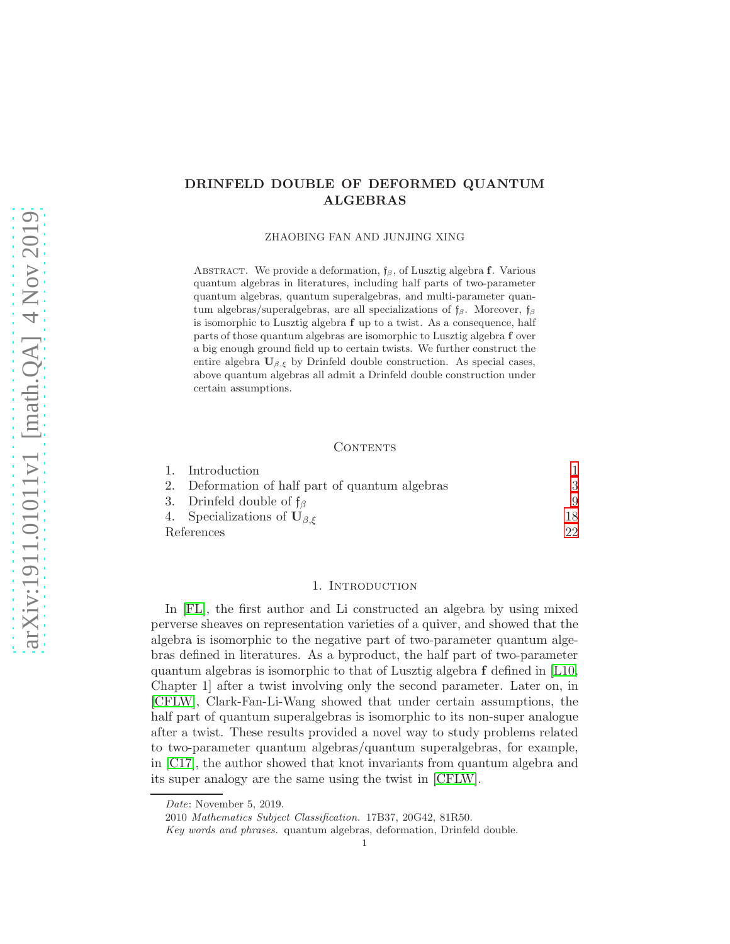# arXiv:1911.01011v1 [math.QA] 4 Nov 2019 [arXiv:1911.01011v1 \[math.QA\] 4 Nov 2019](http://arxiv.org/abs/1911.01011v1)

# DRINFELD DOUBLE OF DEFORMED QUANTUM ALGEBRAS

ZHAOBING FAN AND JUNJING XING

ABSTRACT. We provide a deformation,  $f_\beta$ , of Lusztig algebra f. Various quantum algebras in literatures, including half parts of two-parameter quantum algebras, quantum superalgebras, and multi-parameter quantum algebras/superalgebras, are all specializations of  $f_\beta$ . Moreover,  $f_\beta$ is isomorphic to Lusztig algebra f up to a twist. As a consequence, half parts of those quantum algebras are isomorphic to Lusztig algebra f over a big enough ground field up to certain twists. We further construct the entire algebra  $U_{\beta,\xi}$  by Drinfeld double construction. As special cases, above quantum algebras all admit a Drinfeld double construction under certain assumptions.

### **CONTENTS**

|            | 1. Introduction                                     |     |
|------------|-----------------------------------------------------|-----|
|            | 2. Deformation of half part of quantum algebras     | 3   |
|            | 3. Drinfeld double of $f_{\beta}$                   | 9   |
|            | 4. Specializations of $\mathbf{U}_{\beta,\epsilon}$ | 18  |
| References |                                                     | 99. |

### 1. Introduction

<span id="page-0-0"></span>In [\[FL\]](#page-21-1), the first author and Li constructed an algebra by using mixed perverse sheaves on representation varieties of a quiver, and showed that the algebra is isomorphic to the negative part of two-parameter quantum algebras defined in literatures. As a byproduct, the half part of two-parameter quantum algebras is isomorphic to that of Lusztig algebra f defined in [\[L10,](#page-21-2) Chapter 1] after a twist involving only the second parameter. Later on, in [\[CFLW\]](#page-21-3), Clark-Fan-Li-Wang showed that under certain assumptions, the half part of quantum superalgebras is isomorphic to its non-super analogue after a twist. These results provided a novel way to study problems related to two-parameter quantum algebras/quantum superalgebras, for example, in [\[C17\]](#page-21-4), the author showed that knot invariants from quantum algebra and its super analogy are the same using the twist in [\[CFLW\]](#page-21-3).

Date: November 5, 2019.

<sup>2010</sup> Mathematics Subject Classification. 17B37, 20G42, 81R50.

Key words and phrases. quantum algebras, deformation, Drinfeld double.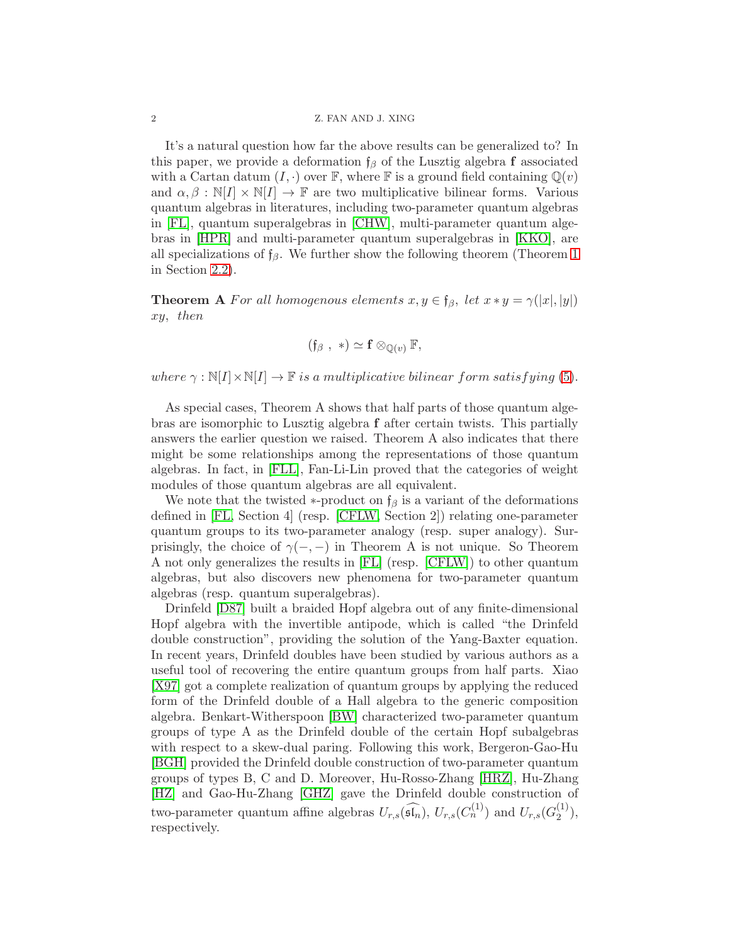It's a natural question how far the above results can be generalized to? In this paper, we provide a deformation  $f_\beta$  of the Lusztig algebra f associated with a Cartan datum  $(I, \cdot)$  over  $\mathbb{F}$ , where  $\mathbb{F}$  is a ground field containing  $\mathbb{Q}(v)$ and  $\alpha, \beta : \mathbb{N}[I] \times \mathbb{N}[I] \to \mathbb{F}$  are two multiplicative bilinear forms. Various quantum algebras in literatures, including two-parameter quantum algebras in [\[FL\]](#page-21-1), quantum superalgebras in [\[CHW\]](#page-21-5), multi-parameter quantum algebras in [\[HPR\]](#page-21-6) and multi-parameter quantum superalgebras in [\[KKO\]](#page-21-7), are all specializations of  $f_\beta$ . We further show the following theorem (Theorem [1](#page-5-0) in Section [2.2\)](#page-5-1).

**Theorem A** For all homogenous elements  $x, y \in \mathfrak{f}_{\beta}$ , let  $x * y = \gamma(|x|, |y|)$ xy, then

$$
(\mathfrak{f}_{\beta}\, ,\ *)\simeq \mathbf{f}\otimes_{\mathbb{Q}(v)}\mathbb{F},
$$

where  $\gamma : \mathbb{N}[I] \times \mathbb{N}[I] \to \mathbb{F}$  is a multiplicative bilinear form satisfying [\(5\)](#page-5-2).

As special cases, Theorem A shows that half parts of those quantum algebras are isomorphic to Lusztig algebra f after certain twists. This partially answers the earlier question we raised. Theorem A also indicates that there might be some relationships among the representations of those quantum algebras. In fact, in [\[FLL\]](#page-21-8), Fan-Li-Lin proved that the categories of weight modules of those quantum algebras are all equivalent.

We note that the twisted  $\ast$ -product on  $f_\beta$  is a variant of the deformations defined in [\[FL,](#page-21-1) Section 4] (resp. [\[CFLW,](#page-21-3) Section 2]) relating one-parameter quantum groups to its two-parameter analogy (resp. super analogy). Surprisingly, the choice of  $\gamma(-,-)$  in Theorem A is not unique. So Theorem A not only generalizes the results in [\[FL\]](#page-21-1) (resp. [\[CFLW\]](#page-21-3)) to other quantum algebras, but also discovers new phenomena for two-parameter quantum algebras (resp. quantum superalgebras).

Drinfeld [\[D87\]](#page-21-9) built a braided Hopf algebra out of any finite-dimensional Hopf algebra with the invertible antipode, which is called "the Drinfeld double construction", providing the solution of the Yang-Baxter equation. In recent years, Drinfeld doubles have been studied by various authors as a useful tool of recovering the entire quantum groups from half parts. Xiao [\[X97\]](#page-21-10) got a complete realization of quantum groups by applying the reduced form of the Drinfeld double of a Hall algebra to the generic composition algebra. Benkart-Witherspoon [\[BW\]](#page-21-11) characterized two-parameter quantum groups of type A as the Drinfeld double of the certain Hopf subalgebras with respect to a skew-dual paring. Following this work, Bergeron-Gao-Hu [\[BGH\]](#page-21-12) provided the Drinfeld double construction of two-parameter quantum groups of types B, C and D. Moreover, Hu-Rosso-Zhang [\[HRZ\]](#page-21-13), Hu-Zhang [\[HZ\]](#page-21-14) and Gao-Hu-Zhang [\[GHZ\]](#page-21-15) gave the Drinfeld double construction of two-parameter quantum affine algebras  $U_{r,s}(\widehat{\mathfrak{sh}_n})$ ,  $U_{r,s}(C_n^{(1)})$  and  $U_{r,s}(C_2^{(1)})$  $\binom{1}{2}$ , respectively.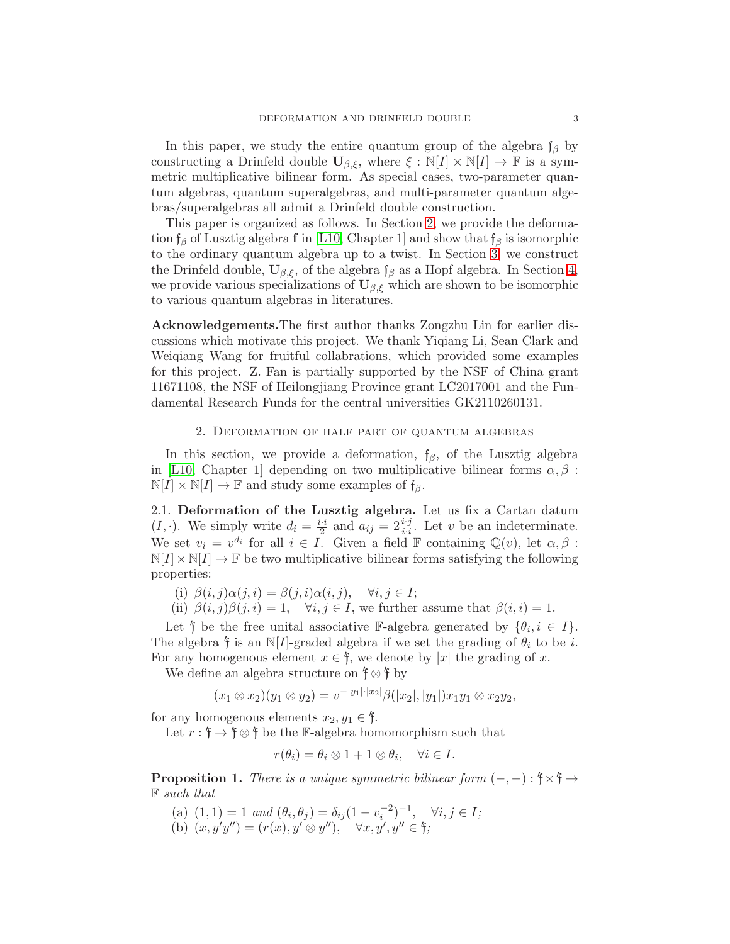In this paper, we study the entire quantum group of the algebra  $f_\beta$  by constructing a Drinfeld double  $\mathbf{U}_{\beta,\xi}$ , where  $\xi : \mathbb{N}[I] \times \mathbb{N}[I] \to \mathbb{F}$  is a symmetric multiplicative bilinear form. As special cases, two-parameter quantum algebras, quantum superalgebras, and multi-parameter quantum algebras/superalgebras all admit a Drinfeld double construction.

This paper is organized as follows. In Section [2,](#page-2-0) we provide the deformation  $f_\beta$  of Lusztig algebra f in [\[L10,](#page-21-2) Chapter 1] and show that  $f_\beta$  is isomorphic to the ordinary quantum algebra up to a twist. In Section [3,](#page-8-0) we construct the Drinfeld double,  $U_{\beta,\xi}$ , of the algebra  $f_{\beta}$  as a Hopf algebra. In Section [4,](#page-17-0) we provide various specializations of  $U_{\beta,\xi}$  which are shown to be isomorphic to various quantum algebras in literatures.

Acknowledgements.The first author thanks Zongzhu Lin for earlier discussions which motivate this project. We thank Yiqiang Li, Sean Clark and Weiqiang Wang for fruitful collabrations, which provided some examples for this project. Z. Fan is partially supported by the NSF of China grant 11671108, the NSF of Heilongjiang Province grant LC2017001 and the Fundamental Research Funds for the central universities GK2110260131.

# 2. Deformation of half part of quantum algebras

<span id="page-2-0"></span>In this section, we provide a deformation,  $f_\beta$ , of the Lusztig algebra in [\[L10,](#page-21-2) Chapter 1] depending on two multiplicative bilinear forms  $\alpha, \beta$ :  $\mathbb{N}[I] \times \mathbb{N}[I] \to \mathbb{F}$  and study some examples of  $f_{\beta}$ .

<span id="page-2-1"></span>2.1. Deformation of the Lusztig algebra. Let us fix a Cartan datum  $(I, \cdot)$ . We simply write  $d_i = \frac{i \cdot i}{2}$  and  $a_{ij} = 2 \frac{i \cdot j}{i \cdot i}$ . Let v be an indeterminate. We set  $v_i = v^{d_i}$  for all  $i \in I$ . Given a field  $\mathbb F$  containing  $\mathbb Q(v)$ , let  $\alpha, \beta$ :  $N[I] \times N[I] \rightarrow \mathbb{F}$  be two multiplicative bilinear forms satisfying the following properties:

(i)  $\beta(i, j)\alpha(j, i) = \beta(j, i)\alpha(i, j), \quad \forall i, j \in I;$ 

(ii)  $\beta(i, j)\beta(j, i) = 1$ ,  $\forall i, j \in I$ , we further assume that  $\beta(i, i) = 1$ .

Let  $\mathfrak f$  be the free unital associative F-algebra generated by  $\{\theta_i, i \in I\}$ . The algebra  $\mathfrak f$  is an N[I]-graded algebra if we set the grading of  $\theta_i$  to be i. For any homogenous element  $x \in \mathfrak{f}$ , we denote by |x| the grading of x.

We define an algebra structure on  $\mathfrak{f} \otimes \mathfrak{f}$  by

$$
(x_1 \otimes x_2)(y_1 \otimes y_2) = v^{-|y_1| \cdot |x_2|} \beta(|x_2|, |y_1|) x_1 y_1 \otimes x_2 y_2,
$$

for any homogenous elements  $x_2, y_1 \in \mathfrak{f}$ .

Let  $r: \mathfrak{f} \to \mathfrak{f} \otimes \mathfrak{f}$  be the F-algebra homomorphism such that

$$
r(\theta_i) = \theta_i \otimes 1 + 1 \otimes \theta_i, \quad \forall i \in I.
$$

**Proposition 1.** There is a unique symmetric bilinear form  $(-,-): \mathfrak{f} \times \mathfrak{f} \to$ F such that

(a)  $(1,1) = 1$  and  $(\theta_i, \theta_j) = \delta_{ij} (1 - v_i^{-2})^{-1}, \quad \forall i, j \in I;$ (b)  $(x, y'y'') = (r(x), y' \otimes y'')$ ,  $\forall x, y', y'' \in \mathfrak{f}$ ;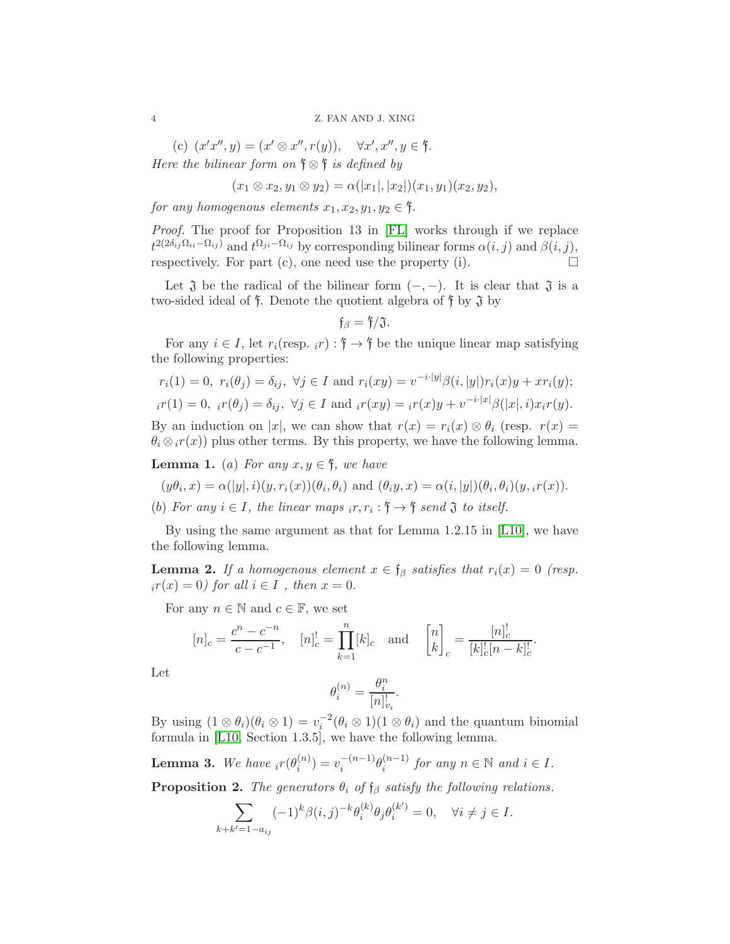(c)  $(x'x'', y) = (x' \otimes x'', r(y)), \quad \forall x', x'', y \in \mathfrak{f}.$ Here the bilinear form on  $\mathfrak{f} \otimes \mathfrak{f}$  is defined by

$$
(x_1 \otimes x_2, y_1 \otimes y_2) = \alpha(|x_1|, |x_2|)(x_1, y_1)(x_2, y_2),
$$

for any homogenous elements  $x_1, x_2, y_1, y_2 \in \mathfrak{f}$ .

Proof. The proof for Proposition 13 in [\[FL\]](#page-21-1) works through if we replace  $t^{2(2\delta_{ij}\Omega_{ii}-\Omega_{ij})}$  and  $t^{\Omega_{ji}-\Omega_{ij}}$  by corresponding bilinear forms  $\alpha(i,j)$  and  $\beta(i,j)$ , respectively. For part (c), one need use the property (i).  $\Box$ 

Let  $\mathfrak J$  be the radical of the bilinear form  $(-,-)$ . It is clear that  $\mathfrak J$  is a two-sided ideal of  $\mathfrak f$ . Denote the quotient algebra of  $\mathfrak f$  by  $\mathfrak J$  by

$$
\mathfrak{f}_{\beta}=\mathfrak{f}/\mathfrak{J}.
$$

For any  $i \in I$ , let  $r_i(\text{resp. } i) : \mathfrak{f} \to \mathfrak{f}$  be the unique linear map satisfying the following properties:

$$
r_i(1) = 0, r_i(\theta_j) = \delta_{ij}, \forall j \in I \text{ and } r_i(xy) = v^{-i \cdot |y|} \beta(i, |y|) r_i(x) y + x r_i(y);
$$
  

$$
i r(1) = 0, i r(\theta_j) = \delta_{ij}, \forall j \in I \text{ and } i r(xy) = i r(x) y + v^{-i \cdot |x|} \beta(|x|, i) x_i r(y).
$$

By an induction on |x|, we can show that  $r(x) = r_i(x) \otimes \theta_i$  (resp.  $r(x) =$  $\theta_i \otimes_i r(x)$  plus other terms. By this property, we have the following lemma.

**Lemma 1.** (a) For any  $x, y \in \mathfrak{f}$ , we have

 $(y\theta_i, x) = \alpha(|y|, i)(y, r_i(x))(\theta_i, \theta_i)$  and  $(\theta_i y, x) = \alpha(i, |y|)(\theta_i, \theta_i)(y, i r(x)).$ 

(b) For any  $i \in I$ , the linear maps  $i r, r_i : f \rightarrow f$  send  $\mathfrak J$  to itself.

By using the same argument as that for Lemma 1.2.15 in [\[L10\]](#page-21-2), we have the following lemma.

<span id="page-3-0"></span>**Lemma 2.** If a homogenous element  $x \in \mathfrak{f}_{\beta}$  satisfies that  $r_i(x) = 0$  (resp.  $i r(x) = 0$  for all  $i \in I$ , then  $x = 0$ .

For any  $n \in \mathbb{N}$  and  $c \in \mathbb{F}$ , we set

$$
[n]_c = \frac{c^n - c^{-n}}{c - c^{-1}}, \quad [n]_c^! = \prod_{k=1}^n [k]_c \text{ and } \begin{bmatrix} n \\ k \end{bmatrix}_c = \frac{[n]_c^!}{[k]_c^! [n - k]_c^!}.
$$

Let

$$
\theta_i^{(n)} = \frac{\theta_i^n}{[n]_{v_i}^!}.
$$

By using  $(1 \otimes \theta_i)(\theta_i \otimes 1) = v_i^{-2}(\theta_i \otimes 1)(1 \otimes \theta_i)$  and the quantum binomial formula in [\[L10,](#page-21-2) Section 1.3.5], we have the following lemma.

<span id="page-3-1"></span>**Lemma 3.** We have 
$$
{}_ir(\theta_i^{(n)}) = v_i^{-(n-1)}\theta_i^{(n-1)}
$$
 for any  $n \in \mathbb{N}$  and  $i \in I$ .

<span id="page-3-2"></span>**Proposition 2.** The generators  $\theta_i$  of  $f_\beta$  satisfy the following relations.

$$
\sum_{k+k'=1-a_{ij}} (-1)^k \beta(i,j)^{-k} \theta_i^{(k)} \theta_j \theta_i^{(k')} = 0, \quad \forall i \neq j \in I.
$$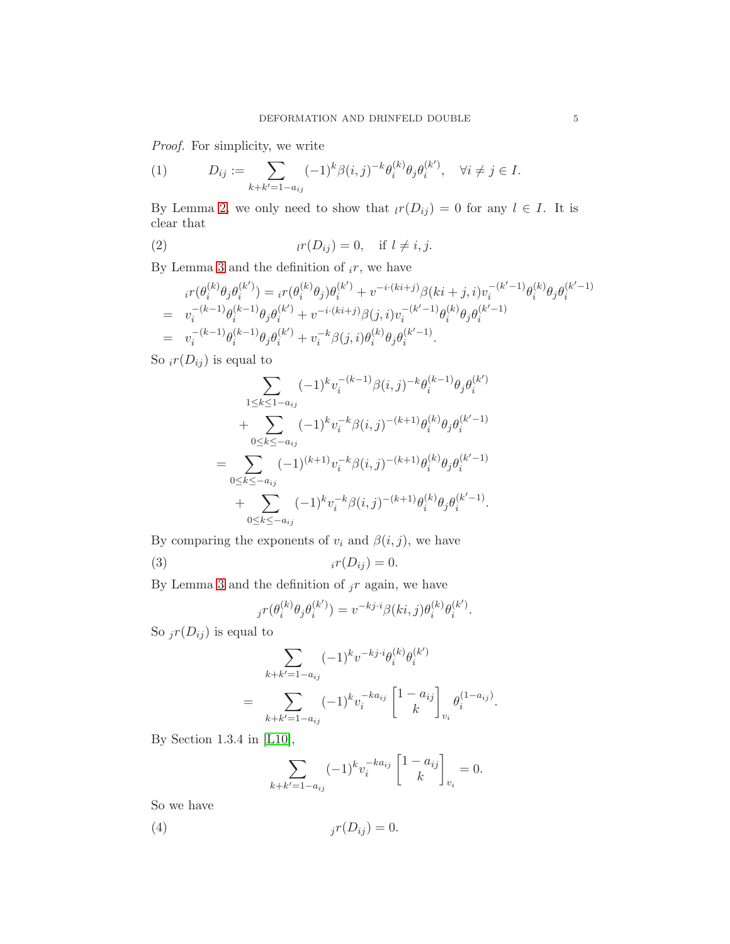Proof. For simplicity, we write

<span id="page-4-3"></span>(1) 
$$
D_{ij} := \sum_{k+k'=1-a_{ij}} (-1)^k \beta(i,j)^{-k} \theta_i^{(k)} \theta_j \theta_i^{(k')}, \quad \forall i \neq j \in I.
$$

By Lemma [2,](#page-3-0) we only need to show that  $\iota r(D_{ij}) = 0$  for any  $l \in I$ . It is clear that

<span id="page-4-0"></span>(2) <sup>l</sup>r(Dij ) = 0, if l 6= i, j.

By Lemma [3](#page-3-1) and the definition of  $_i r$ , we have

$$
i^{r}(\theta_{i}^{(k)}\theta_{j}\theta_{i}^{(k')}) = i^{r}(\theta_{i}^{(k)}\theta_{j})\theta_{i}^{(k')} + v^{-i \cdot (ki+j)}\beta (ki+j,i)v_{i}^{-(k'-1)}\theta_{i}^{(k)}\theta_{j}\theta_{i}^{(k'-1)}
$$
  
\n
$$
= v_{i}^{-(k-1)}\theta_{i}^{(k-1)}\theta_{j}\theta_{i}^{(k')} + v^{-i \cdot (ki+j)}\beta (j,i)v_{i}^{-(k'-1)}\theta_{i}^{(k)}\theta_{j}\theta_{i}^{(k'-1)}
$$
  
\n
$$
= v_{i}^{-(k-1)}\theta_{i}^{(k-1)}\theta_{j}\theta_{i}^{(k')} + v_{i}^{-k}\beta (j,i)\theta_{i}^{(k)}\theta_{j}\theta_{i}^{(k'-1)}.
$$

So  $_i r(D_{ij})$  is equal to

$$
\sum_{1 \leq k \leq 1 - a_{ij}} (-1)^k v_i^{-(k-1)} \beta(i,j)^{-k} \theta_i^{(k-1)} \theta_j \theta_i^{(k')}
$$
  
+ 
$$
\sum_{0 \leq k \leq -a_{ij}} (-1)^k v_i^{-k} \beta(i,j)^{-(k+1)} \theta_i^{(k)} \theta_j \theta_i^{(k'-1)}
$$
  
= 
$$
\sum_{0 \leq k \leq -a_{ij}} (-1)^{(k+1)} v_i^{-k} \beta(i,j)^{-(k+1)} \theta_i^{(k)} \theta_j \theta_i^{(k'-1)}
$$
  
+ 
$$
\sum_{0 \leq k \leq -a_{ij}} (-1)^k v_i^{-k} \beta(i,j)^{-(k+1)} \theta_i^{(k)} \theta_j \theta_i^{(k'-1)}.
$$

By comparing the exponents of  $v_i$  and  $\beta(i, j)$ , we have

$$
(3) \t\t\t i r(D_{ij}) = 0.
$$

By Lemma [3](#page-3-1) and the definition of  $j r$  again, we have

<span id="page-4-1"></span>
$$
j\mathcal{r}(\theta_i^{(k)}\theta_j\theta_i^{(k')}) = v^{-kj \cdot i}\beta(ki,j)\theta_i^{(k)}\theta_i^{(k')}.
$$

So  $_jr(D_{ij})$  is equal to

$$
\sum_{k+k'=1-a_{ij}} (-1)^k v^{-kj \cdot i} \theta_i^{(k)} \theta_i^{(k')}
$$
  
= 
$$
\sum_{k+k'=1-a_{ij}} (-1)^k v_i^{-ka_{ij}} \begin{bmatrix} 1-a_{ij} \\ k \end{bmatrix}_{v_i} \theta_i^{(1-a_{ij})}.
$$

By Section 1.3.4 in [\[L10\]](#page-21-2),

<span id="page-4-2"></span>
$$
\sum_{k+k'=1-a_{ij}} (-1)^k v_i^{-ka_{ij}} \begin{bmatrix} 1-a_{ij} \\ k \end{bmatrix}_{v_i} = 0.
$$

So we have

$$
(4) \t\t\t jr(Dij) = 0.
$$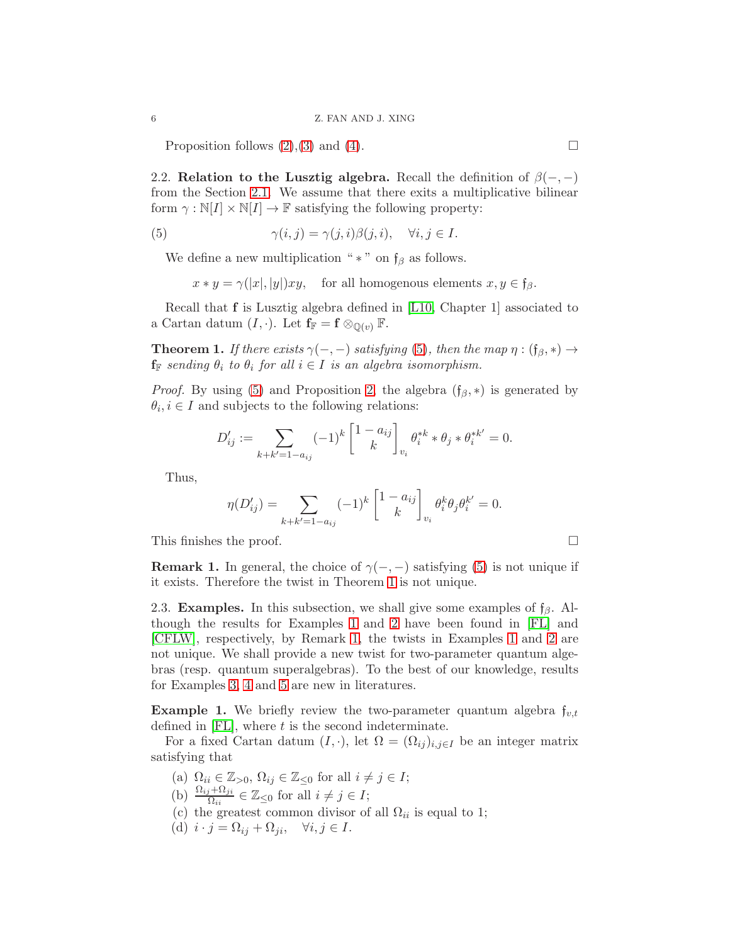Proposition follows  $(2),(3)$  $(2),(3)$  and  $(4)$ .

<span id="page-5-1"></span>2.2. Relation to the Lusztig algebra. Recall the definition of  $\beta(-,-)$ from the Section [2.1.](#page-2-1) We assume that there exits a multiplicative bilinear form  $\gamma : \mathbb{N}[I] \times \mathbb{N}[I] \to \mathbb{F}$  satisfying the following property:

(5) 
$$
\gamma(i,j) = \gamma(j,i)\beta(j,i), \quad \forall i,j \in I.
$$

We define a new multiplication " $*$ " on  $f_\beta$  as follows.

<span id="page-5-2"></span>
$$
x * y = \gamma(|x|, |y|)xy
$$
, for all homogeneous elements  $x, y \in \mathfrak{f}_{\beta}$ .

Recall that f is Lusztig algebra defined in [\[L10,](#page-21-2) Chapter 1] associated to a Cartan datum  $(I, \cdot)$ . Let  $f_{\mathbb{F}} = f \otimes_{\mathbb{O}(v)} \mathbb{F}$ .

<span id="page-5-0"></span>**Theorem 1.** If there exists  $\gamma(-,-)$  satisfying [\(5\)](#page-5-2), then the map  $\eta : (\mathfrak{f}_{\beta}, *) \rightarrow$  $\mathbf{f}_{\mathbb{F}}$  sending  $\theta_i$  to  $\theta_i$  for all  $i \in I$  is an algebra isomorphism.

*Proof.* By using [\(5\)](#page-5-2) and Proposition [2,](#page-3-2) the algebra  $(f_\beta, *)$  is generated by  $\theta_i, i \in I$  and subjects to the following relations:

$$
D'_{ij} := \sum_{k+k'=1-a_{ij}} (-1)^k \begin{bmatrix} 1-a_{ij} \\ k \end{bmatrix}_{v_i} \theta_i^{*k} * \theta_j * \theta_i^{*k'} = 0.
$$

Thus,

$$
\eta(D'_{ij}) = \sum_{k+k'=1-a_{ij}} (-1)^k \begin{bmatrix} 1 - a_{ij} \\ k \end{bmatrix}_{v_i} \theta_i^k \theta_j \theta_i^{k'} = 0.
$$

This finishes the proof.

<span id="page-5-4"></span>**Remark 1.** In general, the choice of  $\gamma(-,-)$  satisfying [\(5\)](#page-5-2) is not unique if it exists. Therefore the twist in Theorem [1](#page-5-0) is not unique.

<span id="page-5-5"></span>2.3. **Examples.** In this subsection, we shall give some examples of  $f_\beta$ . Although the results for Examples [1](#page-5-3) and [2](#page-6-0) have been found in [\[FL\]](#page-21-1) and [\[CFLW\]](#page-21-3), respectively, by Remark [1,](#page-5-4) the twists in Examples [1](#page-5-3) and [2](#page-6-0) are not unique. We shall provide a new twist for two-parameter quantum algebras (resp. quantum superalgebras). To the best of our knowledge, results for Examples [3,](#page-7-0) [4](#page-7-1) and [5](#page-8-1) are new in literatures.

<span id="page-5-3"></span>**Example 1.** We briefly review the two-parameter quantum algebra  $f_{v,t}$ defined in  $[FL]$ , where  $t$  is the second indeterminate.

For a fixed Cartan datum  $(I, \cdot)$ , let  $\Omega = (\Omega_{ij})_{i,j\in I}$  be an integer matrix satisfying that

- (a)  $\Omega_{ii} \in \mathbb{Z}_{>0}, \, \Omega_{ij} \in \mathbb{Z}_{\leq 0}$  for all  $i \neq j \in I$ ;
- (b)  $\frac{\Omega_{ij} + \Omega_{ji}}{\Omega_{ii}} \in \mathbb{Z}_{\leq 0}$  for all  $i \neq j \in I$ ;
- (c) the greatest common divisor of all  $\Omega_{ii}$  is equal to 1;
- (d)  $i \cdot j = \Omega_{ij} + \Omega_{ji}, \quad \forall i, j \in I.$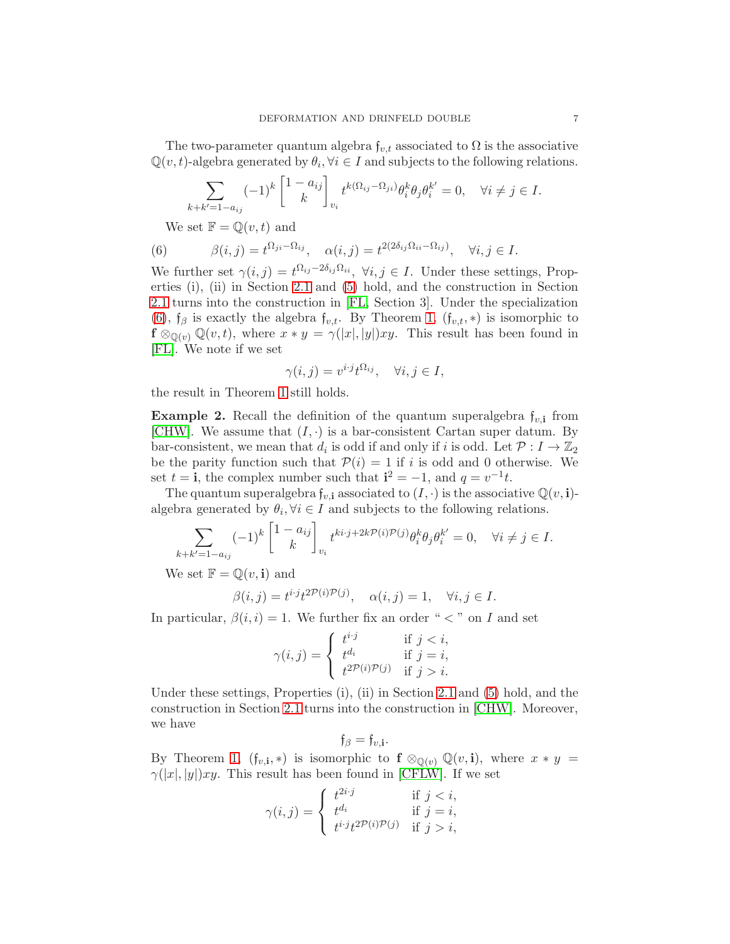The two-parameter quantum algebra  $f_{v,t}$  associated to  $\Omega$  is the associative  $\mathbb{Q}(v,t)$ -algebra generated by  $\theta_i, \forall i \in I$  and subjects to the following relations.

$$
\sum_{k+k'=1-a_{ij}} (-1)^k \begin{bmatrix} 1-a_{ij} \\ k \end{bmatrix}_{v_i} t^{k(\Omega_{ij}-\Omega_{ji})} \theta_i^k \theta_j \theta_i^{k'} = 0, \quad \forall i \neq j \in I.
$$

<span id="page-6-1"></span>We set  $\mathbb{F} = \mathbb{Q}(v, t)$  and

(6) 
$$
\beta(i,j) = t^{\Omega_{ji} - \Omega_{ij}}, \quad \alpha(i,j) = t^{2(2\delta_{ij}\Omega_{ii} - \Omega_{ij})}, \quad \forall i, j \in I.
$$

We further set  $\gamma(i, j) = t^{\Omega_{ij}-2\delta_{ij}\Omega_{ii}}, \ \forall i, j \in I$ . Under these settings, Properties (i), (ii) in Section [2.1](#page-2-1) and [\(5\)](#page-5-2) hold, and the construction in Section [2.1](#page-2-1) turns into the construction in [\[FL,](#page-21-1) Section 3]. Under the specialization [\(6\)](#page-6-1),  $f_\beta$  is exactly the algebra  $f_{v,t}$ . By Theorem [1,](#page-5-0)  $(f_{v,t}, *)$  is isomorphic to  $f \otimes_{\mathbb{Q}(v)} \mathbb{Q}(v,t)$ , where  $x * y = \gamma(|x|, |y|)xy$ . This result has been found in [\[FL\]](#page-21-1). We note if we set

$$
\gamma(i,j) = v^{i \cdot j} t^{\Omega_{ij}}, \quad \forall i, j \in I,
$$

the result in Theorem [1](#page-5-0) still holds.

<span id="page-6-0"></span>**Example 2.** Recall the definition of the quantum superalgebra  $f_{v,i}$  from [\[CHW\]](#page-21-5). We assume that  $(I, \cdot)$  is a bar-consistent Cartan super datum. By bar-consistent, we mean that  $d_i$  is odd if and only if i is odd. Let  $\mathcal{P}: I \to \mathbb{Z}_2$ be the parity function such that  $P(i) = 1$  if i is odd and 0 otherwise. We set  $t = \mathbf{i}$ , the complex number such that  $\mathbf{i}^2 = -1$ , and  $q = v^{-1}t$ .

The quantum superalgebra  $f_{v,i}$  associated to  $(I, \cdot)$  is the associative  $\mathbb{Q}(v,i)$ algebra generated by  $\theta_i, \forall i \in I$  and subjects to the following relations.

$$
\sum_{k+k'=1-a_{ij}} (-1)^k \begin{bmatrix} 1-a_{ij} \\ k \end{bmatrix}_{v_i} t^{ki \cdot j + 2k \mathcal{P}(i)\mathcal{P}(j)} \theta_i^k \theta_j \theta_i^{k'} = 0, \quad \forall i \neq j \in I.
$$

We set  $\mathbb{F} = \mathbb{Q}(v, \mathbf{i})$  and

$$
\beta(i,j) = t^{i \cdot j} t^{2\mathcal{P}(i)\mathcal{P}(j)}, \quad \alpha(i,j) = 1, \quad \forall i, j \in I.
$$

In particular,  $\beta(i, i) = 1$ . We further fix an order "  $\lt$  " on I and set

$$
\gamma(i,j) = \begin{cases} t^{i \cdot j} & \text{if } j < i, \\ t^{d_i} & \text{if } j = i, \\ t^{2\mathcal{P}(i)\mathcal{P}(j)} & \text{if } j > i. \end{cases}
$$

Under these settings, Properties (i), (ii) in Section [2.1](#page-2-1) and [\(5\)](#page-5-2) hold, and the construction in Section [2.1](#page-2-1) turns into the construction in [\[CHW\]](#page-21-5). Moreover, we have

$$
\mathfrak{f}_{\beta}=\mathfrak{f}_{v,\mathbf{i}}
$$

.

By Theorem [1,](#page-5-0)  $(f_{v,i},*)$  is isomorphic to  $f \otimes_{\mathbb{Q}(v)} \mathbb{Q}(v,i)$ , where  $x * y =$  $\gamma(|x|, |y|)xy$ . This result has been found in [\[CFLW\]](#page-21-3). If we set

$$
\gamma(i,j) = \begin{cases} t^{2i \cdot j} & \text{if } j < i, \\ t^{d_i} & \text{if } j = i, \\ t^{i \cdot j} t^{2\mathcal{P}(i)\mathcal{P}(j)} & \text{if } j > i, \end{cases}
$$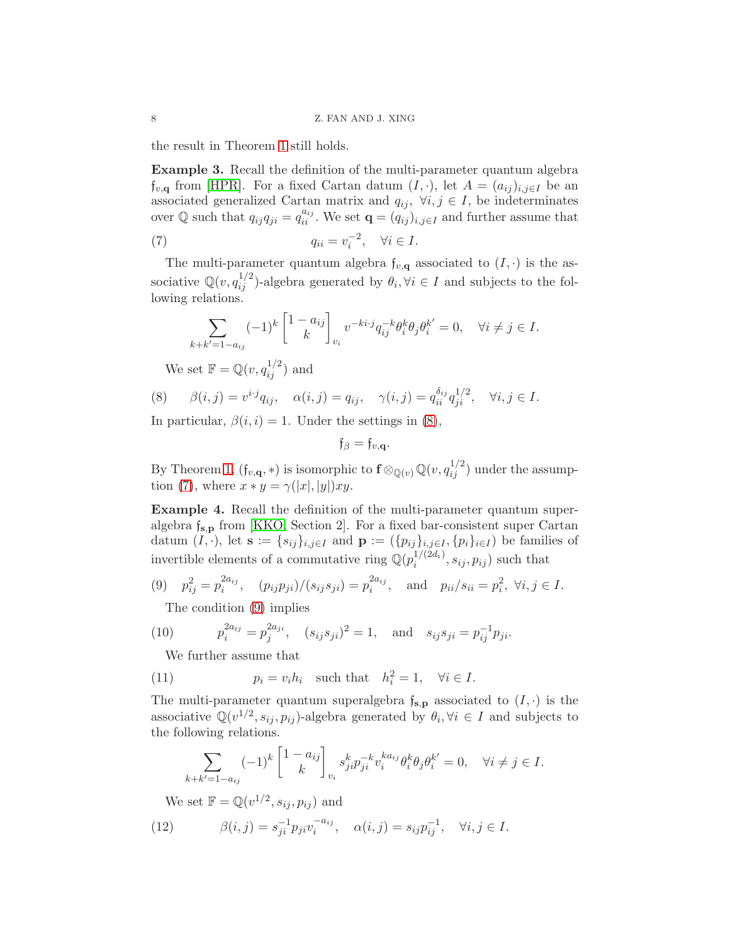the result in Theorem [1](#page-5-0) still holds.

<span id="page-7-0"></span>Example 3. Recall the definition of the multi-parameter quantum algebra  $f_{v,\mathbf{q}}$  from [\[HPR\]](#page-21-6). For a fixed Cartan datum  $(I, \cdot)$ , let  $A = (a_{ij})_{i,j\in I}$  be an associated generalized Cartan matrix and  $q_{ij}$ ,  $\forall i, j \in I$ , be indeterminates over Q such that  $q_{ij}q_{ji} = q_{ii}^{a_{ij}}$ . We set  $\mathbf{q} = (q_{ij})_{i,j\in I}$  and further assume that

(7) 
$$
q_{ii} = v_i^{-2}, \quad \forall i \in I.
$$

The multi-parameter quantum algebra  $f_{v,q}$  associated to  $(I, \cdot)$  is the associative  $\mathbb{Q}(v, q_{ij}^{1/2})$ -algebra generated by  $\theta_i, \forall i \in I$  and subjects to the following relations.

<span id="page-7-3"></span>
$$
\sum_{k+k'=1-a_{ij}} (-1)^k \begin{bmatrix} 1-a_{ij} \\ k \end{bmatrix}_{v_i} v^{-ki \cdot j} q_{ij}^{-k} \theta_i^k \theta_j \theta_i^{k'} = 0, \quad \forall i \neq j \in I.
$$

<span id="page-7-2"></span>We set  $\mathbb{F} = \mathbb{Q}(v, q_{ij}^{1/2})$  and

(8) 
$$
\beta(i,j) = v^{i \cdot j} q_{ij}, \quad \alpha(i,j) = q_{ij}, \quad \gamma(i,j) = q_{ii}^{\delta_{ij}} q_{ji}^{1/2}, \quad \forall i, j \in I.
$$

In particular,  $\beta(i, i) = 1$ . Under the settings in [\(8\)](#page-7-2),

$$
\mathfrak{f}_{\beta}=\mathfrak{f}_{v,\mathbf{q}}.
$$

By Theorem [1,](#page-5-0)  $(f_{v,\mathbf{q}},*)$  is isomorphic to  $\mathbf{f} \otimes_{\mathbb{Q}(v)} \mathbb{Q}(v, q_{ij}^{1/2})$  under the assump-tion [\(7\)](#page-7-3), where  $x * y = \gamma(|x|, |y|)xy$ .

<span id="page-7-1"></span>Example 4. Recall the definition of the multi-parameter quantum superalgebra  $f_{s,p}$  from [\[KKO,](#page-21-7) Section 2]. For a fixed bar-consistent super Cartan datum  $(I, \cdot)$ , let  $\mathbf{s} := \{s_{ij}\}_{i,j\in I}$  and  $\mathbf{p} := (\{p_{ij}\}_{i,j\in I}, \{p_i\}_{i\in I})$  be families of invertible elements of a commutative ring  $\mathbb{Q}(p_i^{1/(2d_i)})$  $i^{1/(2a_i)}, s_{ij}, p_{ij}$  such that

(9) 
$$
p_{ij}^2 = p_i^{2a_{ij}}, (p_{ij}p_{ji})/(s_{ij}s_{ji}) = p_i^{2a_{ij}}, \text{ and } p_{ii}/s_{ii} = p_i^2, \forall i, j \in I.
$$

<span id="page-7-7"></span><span id="page-7-4"></span>The condition [\(9\)](#page-7-4) implies

(10) 
$$
p_i^{2a_{ij}} = p_j^{2a_{ji}}, (s_{ij}s_{ji})^2 = 1, \text{ and } s_{ij}s_{ji} = p_{ij}^{-1}p_{ji}.
$$

<span id="page-7-6"></span>We further assume that

(11) 
$$
p_i = v_i h_i \quad \text{such that} \quad h_i^2 = 1, \quad \forall i \in I.
$$

The multi-parameter quantum superalgebra  $f_{\mathbf{s},\mathbf{p}}$  associated to  $(I,\cdot)$  is the associative  $\mathbb{Q}(v^{1/2}, s_{ij}, p_{ij})$ -algebra generated by  $\theta_i, \forall i \in I$  and subjects to the following relations.

$$
\sum_{k+k'=1-a_{ij}} (-1)^k \begin{bmatrix} 1-a_{ij} \\ k \end{bmatrix}_{v_i} s_{ji}^k p_{ji}^{-k} v_i^{ka_{ij}} \theta_i^k \theta_j \theta_i^{k'} = 0, \quad \forall i \neq j \in I.
$$

<span id="page-7-5"></span>We set  $\mathbb{F} = \mathbb{Q}(v^{1/2}, s_{ij}, p_{ij})$  and

(12) 
$$
\beta(i,j) = s_{ji}^{-1} p_{ji} v_i^{-a_{ij}}, \quad \alpha(i,j) = s_{ij} p_{ij}^{-1}, \quad \forall i, j \in I.
$$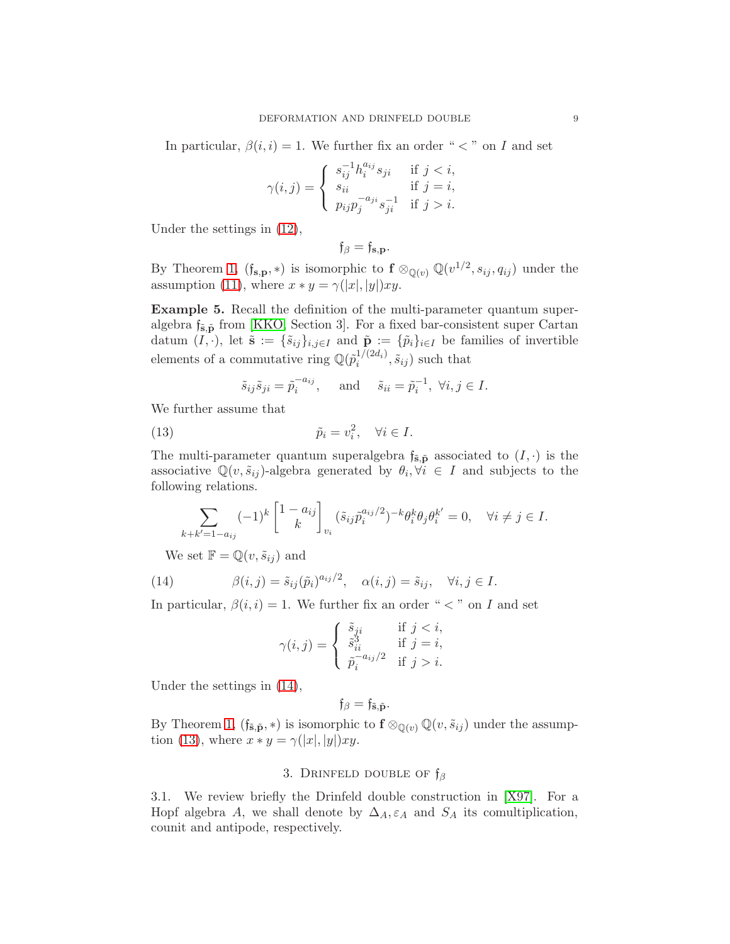In particular,  $\beta(i, i) = 1$ . We further fix an order "  $\lt$  " on I and set

$$
\gamma(i,j) = \begin{cases} s_{ij}^{-1} h_i^{a_{ij}} s_{ji} & \text{if } j < i, \\ s_{ii} & \text{if } j = i, \\ p_{ij} p_j^{-a_{ji}} s_{ji}^{-1} & \text{if } j > i. \end{cases}
$$

Under the settings in [\(12\)](#page-7-5),

$$
\mathfrak{f}_{\beta}=\mathfrak{f}_{\mathbf{s},\mathbf{p}}.
$$

By Theorem [1,](#page-5-0)  $(f_{\mathbf{s},\mathbf{p}},*)$  is isomorphic to  $\mathbf{f} \otimes_{\mathbb{Q}(v)} \mathbb{Q}(v^{1/2}, s_{ij}, q_{ij})$  under the assumption [\(11\)](#page-7-6), where  $x * y = \gamma(|x|, |y|)xy$ .

<span id="page-8-1"></span>Example 5. Recall the definition of the multi-parameter quantum superalgebra  $f_{\tilde{\mathbf{s}}, \tilde{\mathbf{p}}}$  from [\[KKO,](#page-21-7) Section 3]. For a fixed bar-consistent super Cartan datum  $(I, \cdot)$ , let  $\tilde{\mathbf{s}} := {\tilde{s}_{ij}}_{i,j\in I}$  and  $\tilde{\mathbf{p}} := {\tilde{p}_i}_{i\in I}$  be families of invertible elements of a commutative ring  $\mathbb{Q}(\tilde{p}_{i}^{1/(2d_i)})$  $\tilde{s}_{ij}$ ) such that

<span id="page-8-3"></span>
$$
\tilde{s}_{ij}\tilde{s}_{ji} = \tilde{p}_i^{-a_{ij}}, \quad \text{and} \quad \tilde{s}_{ii} = \tilde{p}_i^{-1}, \ \forall i, j \in I.
$$

We further assume that

(13) 
$$
\tilde{p}_i = v_i^2, \quad \forall i \in I.
$$

The multi-parameter quantum superalgebra  $f_{\tilde{s},\tilde{p}}$  associated to  $(I, \cdot)$  is the associative  $\mathbb{Q}(v, \tilde{s}_{ij})$ -algebra generated by  $\theta_i, \forall i \in I$  and subjects to the following relations.

$$
\sum_{k+k'=1-a_{ij}} (-1)^k \begin{bmatrix} 1-a_{ij} \\ k \end{bmatrix}_{v_i} (\tilde{s}_{ij}\tilde{p}_i^{a_{ij}/2})^{-k} \theta_i^k \theta_j \theta_i^{k'} = 0, \quad \forall i \neq j \in I.
$$

We set  $\mathbb{F} = \mathbb{Q}(v, \tilde{s}_{ij})$  and

(14) 
$$
\beta(i,j) = \tilde{s}_{ij}(\tilde{p}_i)^{a_{ij}/2}, \quad \alpha(i,j) = \tilde{s}_{ij}, \quad \forall i, j \in I.
$$

In particular,  $\beta(i, i) = 1$ . We further fix an order "  $\lt$  " on I and set

<span id="page-8-2"></span>
$$
\gamma(i,j) = \begin{cases} \n\tilde{s}_{ji} & \text{if } j < i, \\
\tilde{s}_{ii}^3 & \text{if } j = i, \\
\tilde{p}_i^{-a_{ij}/2} & \text{if } j > i.\n\end{cases}
$$

Under the settings in [\(14\)](#page-8-2),

$$
\mathfrak{f}_{\beta}=\mathfrak{f}_{\tilde{\mathbf{s}},\tilde{\mathbf{p}}}.
$$

<span id="page-8-0"></span>By Theorem [1,](#page-5-0)  $(f_{\tilde{\mathbf{s}},\tilde{\mathbf{p}},*})$  is isomorphic to  $f \otimes_{\mathbb{Q}(v)} \mathbb{Q}(v,\tilde{s}_{ij})$  under the assump-tion [\(13\)](#page-8-3), where  $x * y = \gamma(|x|, |y|)xy$ .

# 3. DRINFELD DOUBLE OF  $f_\beta$

3.1. We review briefly the Drinfeld double construction in [\[X97\]](#page-21-10). For a Hopf algebra A, we shall denote by  $\Delta_A, \varepsilon_A$  and  $S_A$  its comultiplication, counit and antipode, respectively.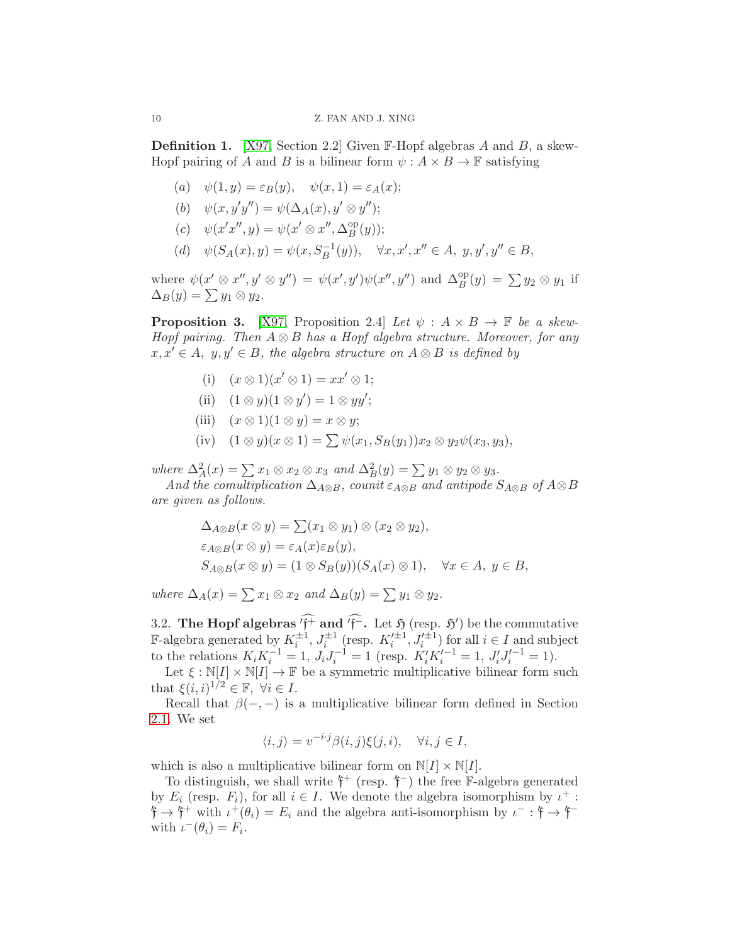<span id="page-9-0"></span>**Definition 1.** [\[X97,](#page-21-10) Section 2.2] Given  $\mathbb{F}$ -Hopf algebras A and B, a skew-Hopf pairing of A and B is a bilinear form  $\psi : A \times B \to \mathbb{F}$  satisfying

- (a)  $\psi(1, y) = \varepsilon_B(y), \quad \psi(x, 1) = \varepsilon_A(x);$
- (b)  $\psi(x, y'y'') = \psi(\Delta_A(x), y' \otimes y'');$
- (c)  $\psi(x'x'', y) = \psi(x' \otimes x'', \Delta_R^{\rm op})$  $B^{\text{op}}(y)$ ;
- (d)  $\psi(S_A(x), y) = \psi(x, S_B^{-1}(y)), \quad \forall x, x', x'' \in A, y, y', y'' \in B,$

where  $\psi(x' \otimes x'', y' \otimes y'') = \psi(x', y')\psi(x'', y'')$  and  $\Delta_B^{\text{op}}(y) = \sum y_2 \otimes y_1$  if  $\Delta_B(y) = \sum y_1 \otimes y_2.$ 

<span id="page-9-1"></span>**Proposition 3.** [\[X97,](#page-21-10) Proposition 2.4] Let  $\psi : A \times B \to \mathbb{F}$  be a skew-Hopf pairing. Then  $A \otimes B$  has a Hopf algebra structure. Moreover, for any  $x, x' \in A$ ,  $y, y' \in B$ , the algebra structure on  $A \otimes B$  is defined by

- (i)  $(x \otimes 1)(x' \otimes 1) = xx' \otimes 1;$
- (ii)  $(1 \otimes y)(1 \otimes y') = 1 \otimes yy';$
- (iii)  $(x \otimes 1)(1 \otimes y) = x \otimes y;$
- (iv)  $(1 \otimes y)(x \otimes 1) = \sum \psi(x_1, S_B(y_1))x_2 \otimes y_2\psi(x_3, y_3),$

where  $\Delta_A^2(x) = \sum x_1 \otimes x_2 \otimes x_3$  and  $\Delta_B^2(y) = \sum y_1 \otimes y_2 \otimes y_3$ .

And the comultiplication  $\Delta_{A\otimes B}$ , counit  $\varepsilon_{A\otimes B}$  and antipode  $S_{A\otimes B}$  of  $A\otimes B$ are given as follows.

$$
\Delta_{A\otimes B}(x\otimes y) = \sum (x_1\otimes y_1) \otimes (x_2\otimes y_2),
$$
  
\n
$$
\varepsilon_{A\otimes B}(x\otimes y) = \varepsilon_A(x)\varepsilon_B(y),
$$
  
\n
$$
S_{A\otimes B}(x\otimes y) = (1\otimes S_B(y))(S_A(x)\otimes 1), \quad \forall x \in A, y \in B,
$$

where  $\Delta_A(x) = \sum x_1 \otimes x_2$  and  $\Delta_B(y) = \sum y_1 \otimes y_2$ .

3.2. The Hopf algebras  $'f^+$  and  $'f^-$ . Let  $\mathfrak{H}$  (resp.  $\mathfrak{H}'$ ) be the commutative **F**-algebra generated by  $K_i^{\pm 1}$ ,  $J_i^{\pm 1}$  (resp.  $K_i'^{\pm 1}$ ,  $J_i'^{\pm 1}$ ) for all  $i \in I$  and subject to the relations  $K_i K_i^{-1} = 1$ ,  $J_i J_i^{-1} = 1$  (resp.  $K_i' K_i'^{-1} = 1$ ,  $J_i' J_i'^{-1} = 1$ ).

Let  $\xi : \mathbb{N}[I] \times \mathbb{N}[I] \to \mathbb{F}$  be a symmetric multiplicative bilinear form such that  $\xi(i,i)^{1/2} \in \mathbb{F}$ ,  $\forall i \in I$ .

Recall that  $\beta(-,-)$  is a multiplicative bilinear form defined in Section [2.1.](#page-2-1) We set

$$
\langle i, j \rangle = v^{-i \cdot j} \beta(i, j) \xi(j, i), \quad \forall i, j \in I,
$$

which is also a multiplicative bilinear form on  $N[I] \times N[I]$ .

To distinguish, we shall write  $f^+$  (resp.  $f^-$ ) the free F-algebra generated by  $E_i$  (resp.  $F_i$ ), for all  $i \in I$ . We denote the algebra isomorphism by  $\iota^+$ :  $\mathfrak{f} \to \mathfrak{f}^+$  with  $\iota^+(\theta_i) = E_i$  and the algebra anti-isomorphism by  $\iota^- : \mathfrak{f} \to \mathfrak{f}^$ with  $\iota^-(\theta_i) = F_i$ .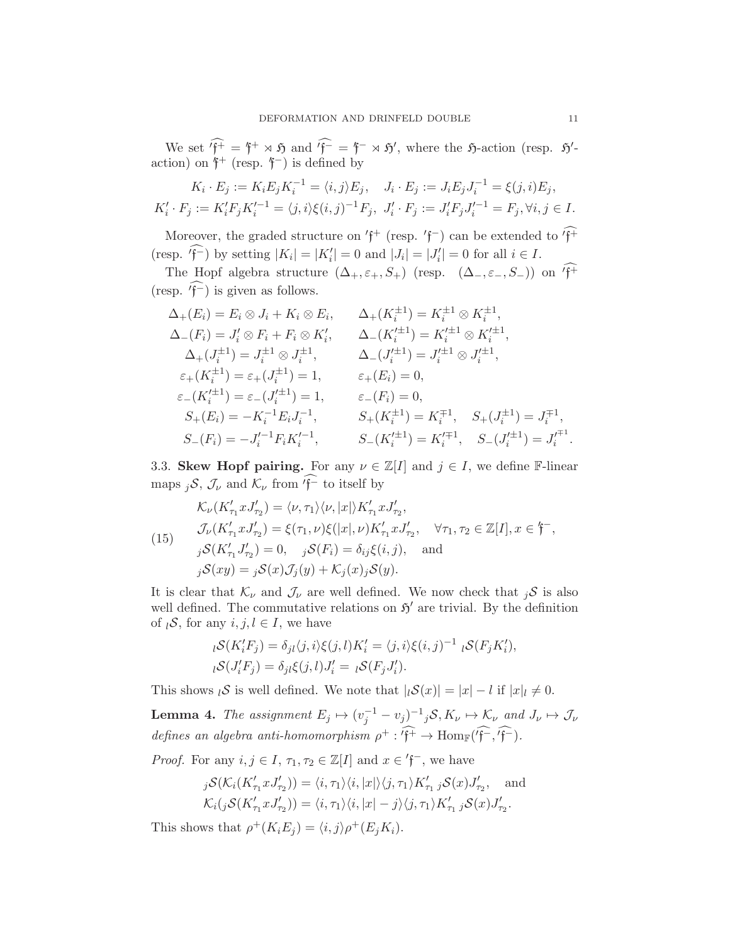We set  $f^+ = f^+ \rtimes \mathfrak{H}$  and  $f^- = f^- \rtimes \mathfrak{H}'$ , where the  $\mathfrak{H}$ -action (resp.  $\mathfrak{H}'$ action) on  $f^+$  (resp.  $f^-$ ) is defined by

$$
K_i \cdot E_j := K_i E_j K_i^{-1} = \langle i, j \rangle E_j, \quad J_i \cdot E_j := J_i E_j J_i^{-1} = \xi(j, i) E_j,
$$
  

$$
K'_i \cdot F_j := K'_i F_j K'_i^{-1} = \langle j, i \rangle \xi(i, j)^{-1} F_j, \quad J'_i \cdot F_j := J'_i F_j J'_i^{-1} = F_j, \forall i, j \in I.
$$

Moreover, the graded structure on  $'f^+$  (resp.  $'f^-$ ) can be extended to  $'f^+$ (resp.  $'_{\mathfrak{f}}$ ) by setting  $|K_i| = |K'_i| = 0$  and  $|J_i| = |J'_i| = 0$  for all  $i \in I$ .

The Hopf algebra structure  $(\Delta_+, \varepsilon_+, S_+)$  (resp.  $(\Delta_-, \varepsilon_-, S_-)$ ) on  $\widehat{f^+}$ (resp.  $\widehat{f}^{-}$ ) is given as follows.

$$
\Delta_{+}(E_{i}) = E_{i} \otimes J_{i} + K_{i} \otimes E_{i}, \qquad \Delta_{+}(K_{i}^{\pm 1}) = K_{i}^{\pm 1} \otimes K_{i}^{\pm 1},
$$
  
\n
$$
\Delta_{-}(F_{i}) = J_{i}' \otimes F_{i} + F_{i} \otimes K_{i}', \qquad \Delta_{-}(K_{i}'^{\pm 1}) = K_{i}'^{\pm 1} \otimes K_{i}'^{\pm 1},
$$
  
\n
$$
\Delta_{+}(J_{i}^{\pm 1}) = J_{i}^{\pm 1} \otimes J_{i}^{\pm 1}, \qquad \Delta_{-}(J_{i}'^{\pm 1}) = J_{i}'^{\pm 1} \otimes J_{i}'^{\pm 1},
$$
  
\n
$$
\varepsilon_{+}(K_{i}^{\pm 1}) = \varepsilon_{+}(J_{i}^{\pm 1}) = 1, \qquad \varepsilon_{+}(E_{i}) = 0,
$$
  
\n
$$
\varepsilon_{-}(K_{i}'^{\pm 1}) = \varepsilon_{-}(J_{i}'^{\pm 1}) = 1, \qquad \varepsilon_{-}(F_{i}) = 0,
$$
  
\n
$$
S_{+}(E_{i}) = -K_{i}^{-1}E_{i}J_{i}^{-1}, \qquad S_{+}(K_{i}^{\pm 1}) = K_{i}^{\mp 1}, \quad S_{+}(J_{i}^{\pm 1}) = J_{i}^{\mp 1},
$$
  
\n
$$
S_{-}(F_{i}) = -J_{i}'^{-1}F_{i}K_{i}'^{-1}, \qquad S_{-}(K_{i}'^{\pm 1}) = K_{i}'^{\mp 1}, \quad S_{-}(J_{i}'^{\pm 1}) = J_{i}^{\mp 1}.
$$

3.3. Skew Hopf pairing. For any  $\nu \in \mathbb{Z}[I]$  and  $j \in I$ , we define F-linear maps  $_iS$ ,  $\mathcal{J}_{\nu}$  and  $\mathcal{K}_{\nu}$  from  $\widehat{f}^-$  to itself by

<span id="page-10-1"></span>(15)  
\n
$$
\mathcal{K}_{\nu}(K'_{\tau_1}xJ'_{\tau_2}) = \langle \nu, \tau_1 \rangle \langle \nu, |x| \rangle K'_{\tau_1}xJ'_{\tau_2},
$$
\n
$$
\mathcal{J}_{\nu}(K'_{\tau_1}xJ'_{\tau_2}) = \xi(\tau_1, \nu)\xi(|x|, \nu)K'_{\tau_1}xJ'_{\tau_2}, \quad \forall \tau_1, \tau_2 \in \mathbb{Z}[I], x \in \mathfrak{f}^-,
$$
\n
$$
j\mathcal{S}(K'_{\tau_1}J'_{\tau_2}) = 0, \quad j\mathcal{S}(F_i) = \delta_{ij}\xi(i,j), \quad \text{and}
$$
\n
$$
j\mathcal{S}(xy) = j\mathcal{S}(x)\mathcal{J}_j(y) + \mathcal{K}_j(x)j\mathcal{S}(y).
$$

It is clear that  $\mathcal{K}_{\nu}$  and  $\mathcal{J}_{\nu}$  are well defined. We now check that  $_i\mathcal{S}$  is also well defined. The commutative relations on  $\mathfrak{H}'$  are trivial. By the definition of  $l\mathcal{S}$ , for any  $i, j, l \in I$ , we have

$$
{}_{l}\mathcal{S}(K'_{i}F_{j}) = \delta_{jl}\langle j,i\rangle \xi(j,l)K'_{i} = \langle j,i\rangle \xi(i,j)^{-1} {}_{l}\mathcal{S}(F_{j}K'_{i}),
$$
  

$$
{}_{l}\mathcal{S}(J'_{i}F_{j}) = \delta_{jl}\xi(j,l)J'_{i} = {}_{l}\mathcal{S}(F_{j}J'_{i}).
$$

This shows  $\iota S$  is well defined. We note that  $|\iota S(x)| = |x| - l$  if  $|x| \neq 0$ .

<span id="page-10-0"></span>**Lemma 4.** The assignment  $E_j \mapsto (v_j^{-1} - v_j)^{-1} jS$ ,  $K_{\nu} \mapsto K_{\nu}$  and  $J_{\nu} \mapsto J_{\nu}$ defines an algebra anti-homomorphism  $\rho^+ : f^+ \to \text{Hom}_{\mathbb{F}}(f^-, f^-)$ .

*Proof.* For any  $i, j \in I$ ,  $\tau_1, \tau_2 \in \mathbb{Z}[I]$  and  $x \in \mathsf{f}^-$ , we have

$$
j\mathcal{S}(\mathcal{K}_i(K'_{\tau_1}xJ'_{\tau_2})) = \langle i, \tau_1 \rangle \langle i, |x| \rangle \langle j, \tau_1 \rangle K'_{\tau_1} j\mathcal{S}(x)J'_{\tau_2}, \text{ and}
$$
  

$$
\mathcal{K}_i(j\mathcal{S}(K'_{\tau_1}xJ'_{\tau_2})) = \langle i, \tau_1 \rangle \langle i, |x| - j \rangle \langle j, \tau_1 \rangle K'_{\tau_1} j\mathcal{S}(x)J'_{\tau_2}.
$$

This shows that  $\rho^+(K_i E_j) = \langle i, j \rangle \rho^+(E_j K_i)$ .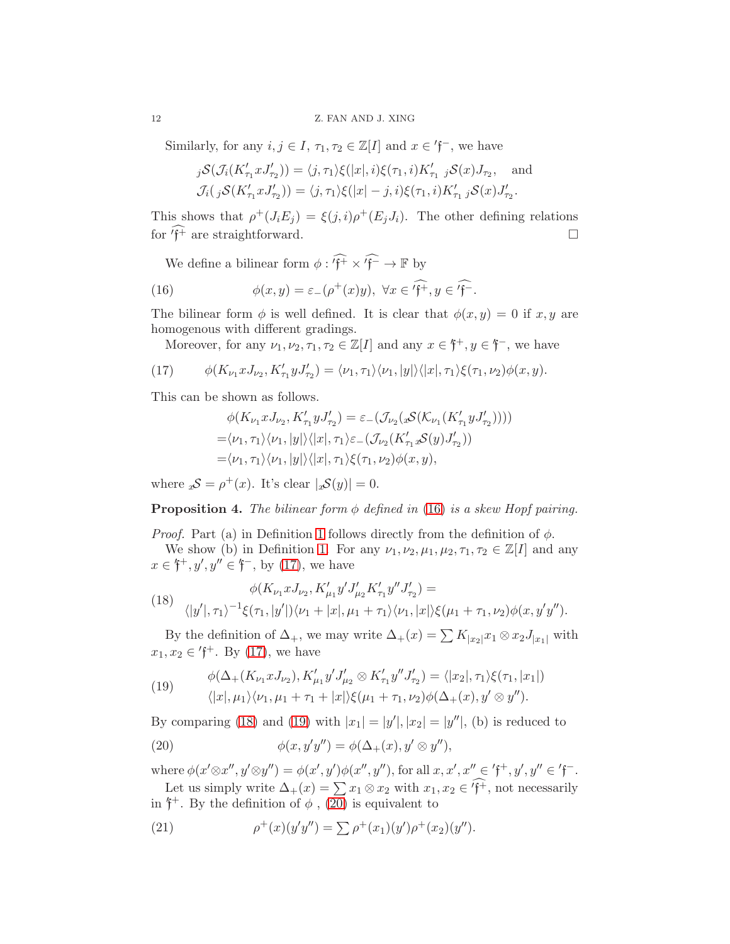Similarly, for any  $i, j \in I$ ,  $\tau_1, \tau_2 \in \mathbb{Z}[I]$  and  $x \in \mathsf{f}^-$ , we have

$$
j\mathcal{S}(\mathcal{J}_i(K'_{\tau_1}xJ'_{\tau_2})) = \langle j, \tau_1 \rangle \xi(|x|, i) \xi(\tau_1, i) K'_{\tau_1} j\mathcal{S}(x)J_{\tau_2}, \text{ and}
$$
  

$$
\mathcal{J}_i(j\mathcal{S}(K'_{\tau_1}xJ'_{\tau_2})) = \langle j, \tau_1 \rangle \xi(|x| - j, i) \xi(\tau_1, i) K'_{\tau_1} j\mathcal{S}(x)J'_{\tau_2}.
$$

This shows that  $\rho^+(J_iE_j) = \xi(j,i)\rho^+(E_jJ_i)$ . The other defining relations for  $\widehat{f^+}$  are straightforward.

<span id="page-11-0"></span>We define a bilinear form  $\phi: '\mathfrak{f}^+ \times {}'\mathfrak{f}^- \to \mathbb{F}$  by

(16) 
$$
\phi(x,y) = \varepsilon_-(\rho^+(x)y), \ \forall x \in \widehat{f^+}, y \in \widehat{f^-}.
$$

The bilinear form  $\phi$  is well defined. It is clear that  $\phi(x, y) = 0$  if  $x, y$  are homogenous with different gradings.

Moreover, for any  $\nu_1, \nu_2, \tau_1, \tau_2 \in \mathbb{Z}[I]$  and any  $x \in \mathfrak{f}^+, y \in \mathfrak{f}^-,$  we have

<span id="page-11-1"></span>(17) 
$$
\phi(K_{\nu_1}xJ_{\nu_2}, K'_{\tau_1}yJ'_{\tau_2}) = \langle \nu_1, \tau_1 \rangle \langle \nu_1, |y| \rangle \langle |x|, \tau_1 \rangle \xi(\tau_1, \nu_2) \phi(x, y).
$$

This can be shown as follows.

$$
\phi(K_{\nu_1}xJ_{\nu_2}, K'_{\tau_1}yJ'_{\tau_2}) = \varepsilon_-(\mathcal{J}_{\nu_2}(x\mathcal{S}(\mathcal{K}_{\nu_1}(K'_{\tau_1}yJ'_{\tau_2}))))
$$
  
= $\langle \nu_1, \tau_1 \rangle \langle \nu_1, |y| \rangle \langle |x|, \tau_1 \rangle \varepsilon_-(\mathcal{J}_{\nu_2}(K'_{\tau_1}x\mathcal{S}(y)J'_{\tau_2}))$   
= $\langle \nu_1, \tau_1 \rangle \langle \nu_1, |y| \rangle \langle |x|, \tau_1 \rangle \xi(\tau_1, \nu_2) \phi(x, y),$ 

where  ${}_{x}\mathcal{S} = \rho^{+}(x)$ . It's clear  $|{}_{x}\mathcal{S}(y)| = 0$ .

**Proposition 4.** The bilinear form  $\phi$  defined in [\(16\)](#page-11-0) is a skew Hopf pairing.

*Proof.* Part (a) in Definition [1](#page-9-0) follows directly from the definition of  $\phi$ . We show (b) in Definition [1.](#page-9-0) For any  $\nu_1, \nu_2, \mu_1, \mu_2, \tau_1, \tau_2 \in \mathbb{Z}[I]$  and any  $x \in \mathfrak{f}^+, y', y'' \in \mathfrak{f}^-,$  by [\(17\)](#page-11-1), we have

<span id="page-11-2"></span>(18) 
$$
\phi(K_{\nu_1} x J_{\nu_2}, K'_{\mu_1} y' J'_{\mu_2} K'_{\tau_1} y'' J'_{\tau_2}) =
$$

$$
\langle |y'|, \tau_1 \rangle^{-1} \xi(\tau_1, |y'|) \langle \nu_1 + |x|, \mu_1 + \tau_1 \rangle \langle \nu_1, |x| \rangle \xi(\mu_1 + \tau_1, \nu_2) \phi(x, y' y'').
$$

By the definition of  $\Delta_+$ , we may write  $\Delta_+(x) = \sum K_{|x_2|}x_1 \otimes x_2 J_{|x_1|}$  with  $x_1, x_2 \in 'f^+$ . By [\(17\)](#page-11-1), we have

<span id="page-11-3"></span>(19) 
$$
\phi(\Delta_{+}(K_{\nu_{1}}xJ_{\nu_{2}}), K'_{\mu_{1}}y'J'_{\mu_{2}} \otimes K'_{\tau_{1}}y''J'_{\tau_{2}}) = \langle |x_{2}|, \tau_{1}\rangle \xi(\tau_{1}, |x_{1}|) \langle |x|, \mu_{1}\rangle \langle \nu_{1}, \mu_{1} + \tau_{1} + |x|\rangle \xi(\mu_{1} + \tau_{1}, \nu_{2}) \phi(\Delta_{+}(x), y' \otimes y'').
$$

By comparing [\(18\)](#page-11-2) and [\(19\)](#page-11-3) with  $|x_1| = |y'|, |x_2| = |y''|$ , (b) is reduced to

<span id="page-11-4"></span>(20) 
$$
\phi(x, y'y'') = \phi(\Delta_+(x), y' \otimes y''),
$$

where  $\phi(x' \otimes x'', y' \otimes y'') = \phi(x', y')\phi(x'', y'')$ , for all  $x, x', x'' \in \mathfrak{f}^+, y', y'' \in \mathfrak{f}^-$ . Let us simply write  $\Delta_+(x) = \sum x_1 \otimes x_2$  with  $x_1, x_2 \in \widehat{f^+}$ , not necessarily

in  $\mathfrak{f}^+$ . By the definition of  $\phi$ , [\(20\)](#page-11-4) is equivalent to

<span id="page-11-5"></span>(21) 
$$
\rho^+(x)(y'y'') = \sum \rho^+(x_1)(y')\rho^+(x_2)(y'').
$$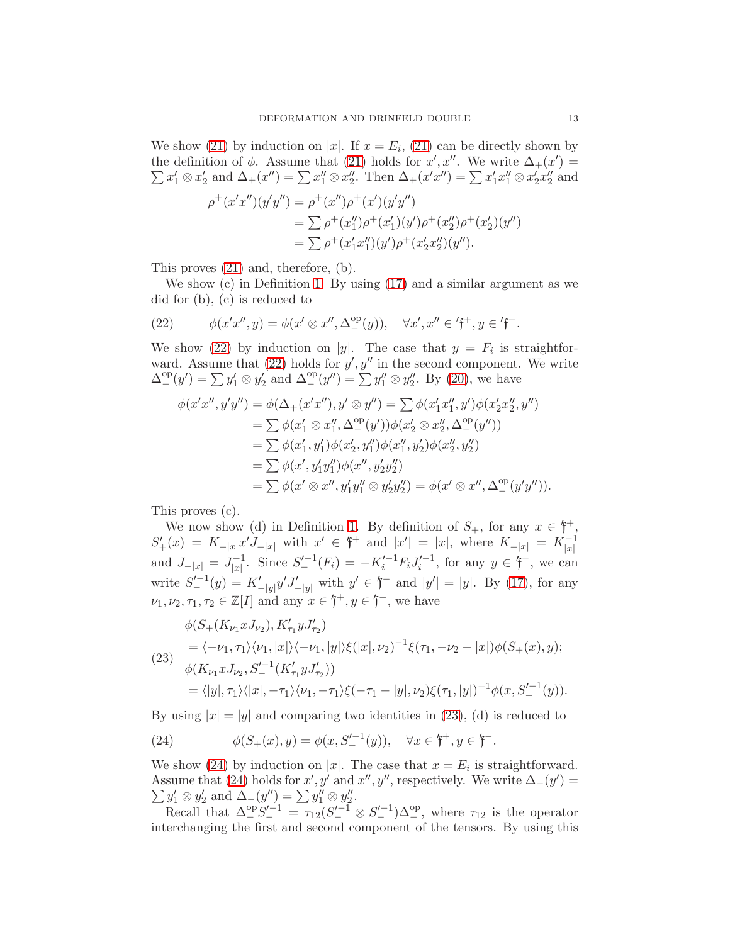We show [\(21\)](#page-11-5) by induction on |x|. If  $x = E_i$ , (21) can be directly shown by the definition of  $\phi$ . Assume that [\(21\)](#page-11-5) holds for x', x''. We write  $\Delta_{+}(x') =$  $\sum x'_1 \otimes x'_2$  and  $\Delta_+(x'') = \sum x''_1 \otimes x''_2$ . Then  $\Delta_+(x'x'') = \sum x'_1x''_1 \otimes x'_2x''_2$  and

$$
\rho^+(x'x'')(y'y'') = \rho^+(x'')\rho^+(x')(y'y'')
$$
  
=  $\sum \rho^+(x_1'')\rho^+(x_1')(y')\rho^+(x_2'')\rho^+(x_2')(y'')$   
=  $\sum \rho^+(x_1'x_1'')(y')\rho^+(x_2'x_2')(y'').$ 

This proves [\(21\)](#page-11-5) and, therefore, (b).

We show (c) in Definition [1.](#page-9-0) By using [\(17\)](#page-11-1) and a similar argument as we did for (b), (c) is reduced to

<span id="page-12-0"></span>(22) 
$$
\phi(x'x'',y)=\phi(x'\otimes x'',\Delta^{\text{op}}_{-}(y)), \quad \forall x',x''\in\mathfrak{f}^+,y\in\mathfrak{f}^-.
$$

We show [\(22\)](#page-12-0) by induction on |y|. The case that  $y = F_i$  is straightforward. Assume that  $(22)$  holds for  $y', y''$  in the second component. We write  $\Delta_{-}^{\text{op}}(y') = \sum y'_1 \otimes y'_2$  and  $\Delta_{-}^{\text{op}}(y'') = \sum y''_1 \otimes y''_2$ . By [\(20\)](#page-11-4), we have

$$
\phi(x'x'', y'y'') = \phi(\Delta_{+}(x'x''), y' \otimes y'') = \sum \phi(x'_1x''_1, y')\phi(x'_2x''_2, y'')
$$
  
\n
$$
= \sum \phi(x'_1 \otimes x''_1, \Delta_{-}^{\text{op}}(y'))\phi(x'_2 \otimes x''_2, \Delta_{-}^{\text{op}}(y''))
$$
  
\n
$$
= \sum \phi(x'_1, y'_1)\phi(x'_2, y''_1)\phi(x''_1, y'_2)\phi(x''_2, y''_2)
$$
  
\n
$$
= \sum \phi(x', y'_1y''_1)\phi(x'', y'_2y''_2)
$$
  
\n
$$
= \sum \phi(x' \otimes x'', y'_1y''_1 \otimes y'_2y''_2) = \phi(x' \otimes x'', \Delta_{-}^{\text{op}}(y'y'')).
$$

This proves (c).

We now show (d) in Definition [1.](#page-9-0) By definition of  $S_+$ , for any  $x \in \mathfrak{f}^+$ ,  $S'_{+}(x) = K_{-|x|}x'J_{-|x|}$  with  $x' \in \mathfrak{f}^+$  and  $|x'| = |x|$ , where  $K_{-|x|} = K_{|x|}^{-1}$ and  $J_{-|x|} = J_{|x|}^{-1}$  $\int_{|x|}^{-1}$ . Since  $S_{-}^{\prime -1}(F_i) = -K_i^{\prime -1}F_iJ_i^{\prime -1}$ , for any  $y \in \mathfrak{f}^-$ , we can write  $S_{-}^{\prime-1}(y) = K_{-|y|}^{\prime} y^{\prime} J_{-|y|}^{\prime}$  with  $y' \in \mathfrak{f}^-$  and  $|y'| = |y|$ . By [\(17\)](#page-11-1), for any  $\nu_1, \nu_2, \tau_1, \tau_2 \in \mathbb{Z}[I]$  and any  $x \in \mathfrak{f}^+, y \in \mathfrak{f}^-,$  we have

<span id="page-12-1"></span>
$$
\phi(S_{+}(K_{\nu_{1}}xJ_{\nu_{2}}), K'_{\tau_{1}}yJ'_{\tau_{2}})
$$
\n
$$
= \langle -\nu_{1}, \tau_{1}\rangle\langle\nu_{1}, |x|\rangle\langle-\nu_{1}, |y|\rangle\xi(|x|, \nu_{2})^{-1}\xi(\tau_{1}, -\nu_{2} - |x|)\phi(S_{+}(x), y);
$$
\n
$$
\phi(K_{\nu_{1}}xJ_{\nu_{2}}, S_{-}^{\prime-1}(K'_{\tau_{1}}yJ'_{\tau_{2}}))
$$
\n
$$
= \langle |y|, \tau_{1}\rangle\langle|x|, -\tau_{1}\rangle\langle\nu_{1}, -\tau_{1}\rangle\xi(-\tau_{1} - |y|, \nu_{2})\xi(\tau_{1}, |y|)^{-1}\phi(x, S_{-}^{\prime-1}(y)).
$$

By using  $|x| = |y|$  and comparing two identities in [\(23\)](#page-12-1), (d) is reduced to

<span id="page-12-2"></span>(24) 
$$
\phi(S_+(x), y) = \phi(x, S_-'^{-1}(y)), \quad \forall x \in \mathfrak{f}^+, y \in \mathfrak{f}^-.
$$

We show [\(24\)](#page-12-2) by induction on |x|. The case that  $x = E_i$  is straightforward. Assume that [\(24\)](#page-12-2) holds for  $x', y'$  and  $x'', y''$ , respectively. We write  $\Delta_{-}(y') =$  $\sum y'_1 \otimes y'_2$  and  $\Delta_-(y'') = \sum y''_1 \otimes y''_2$ .

Recall that  $\Delta_{-}^{\text{op}}S_{-}^{\prime-1} = \tau_{12}(S_{-}^{\prime-1}\otimes S_{-}^{\prime-1})\Delta_{-}^{\text{op}},$  where  $\tau_{12}$  is the operator interchanging the first and second component of the tensors. By using this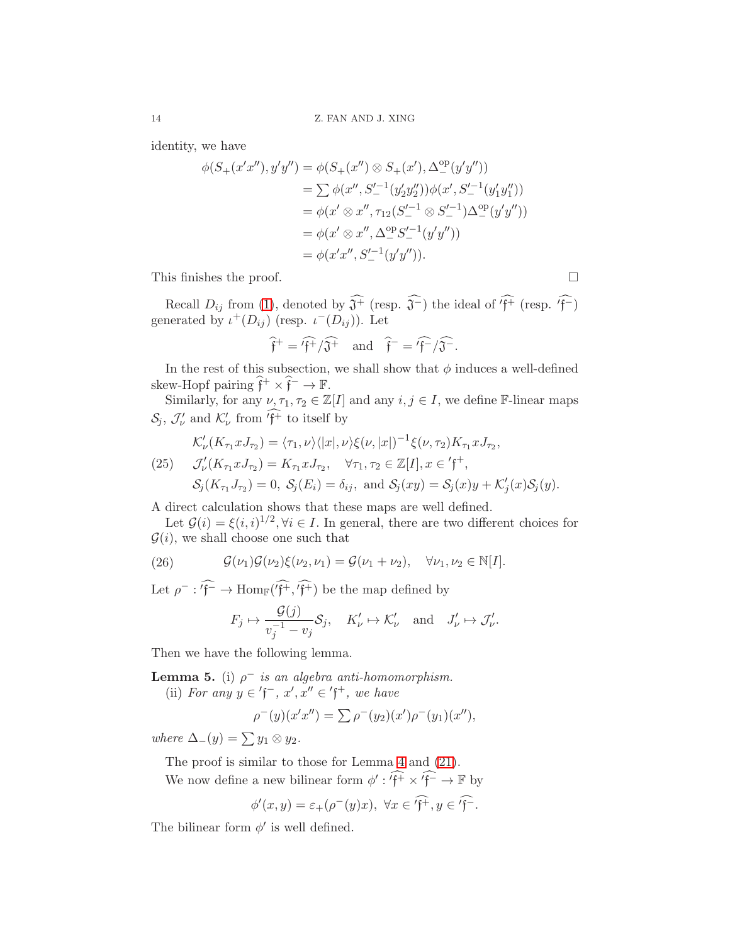identity, we have

$$
\phi(S_{+}(x'x''), y'y'') = \phi(S_{+}(x'') \otimes S_{+}(x'), \Delta_{-}^{\text{op}}(y'y''))
$$
  
\n
$$
= \sum \phi(x'', S_{-}^{\prime -1}(y'_2y''_2))\phi(x', S_{-}^{\prime -1}(y'_1y''_1))
$$
  
\n
$$
= \phi(x' \otimes x'', \tau_{12}(S_{-}^{\prime -1} \otimes S_{-}^{\prime -1})\Delta_{-}^{\text{op}}(y'y''))
$$
  
\n
$$
= \phi(x' \otimes x'', \Delta_{-}^{\text{op}}S_{-}^{\prime -1}(y'y''))
$$
  
\n
$$
= \phi(x'x'', S_{-}^{\prime -1}(y'y'')).
$$

This finishes the proof.

Recall  $D_{ij}$  from [\(1\)](#page-4-3), denoted by  $\widehat{\mathfrak{J}^+}$  (resp.  $\widehat{\mathfrak{J}^-}$ ) the ideal of  $\widehat{'f^+}$  (resp.  $\widehat{'f^-}$ ) generated by  $\iota^+(D_{ij})$  (resp.  $\iota^-(D_{ij})$ ). Let

$$
\hat{\mathfrak{f}}^+ = \hat{\mathfrak{f}}^+ / \hat{\mathfrak{J}}^+
$$
 and  $\hat{\mathfrak{f}}^- = \hat{\mathfrak{f}}^- / \hat{\mathfrak{J}}^-$ .

In the rest of this subsection, we shall show that  $\phi$  induces a well-defined skew-Hopf pairing  $\hat{\mathfrak{f}}^+ \times \hat{\mathfrak{f}}^- \to \mathbb{F}$ .

Similarly, for any  $\nu, \tau_1, \tau_2 \in \mathbb{Z}[I]$  and any  $i, j \in I$ , we define F-linear maps  $S_j$ ,  $\mathcal{J}'_{\nu}$  and  $\mathcal{K}'_{\nu}$  from 'f<sup>+</sup> to itself by

<span id="page-13-1"></span>
$$
\mathcal{K}'_{\nu}(K_{\tau_1}xJ_{\tau_2}) = \langle \tau_1, \nu \rangle \langle |x|, \nu \rangle \xi(\nu, |x|)^{-1} \xi(\nu, \tau_2) K_{\tau_1}xJ_{\tau_2},
$$
\n
$$
\mathcal{J}'_{\nu}(K_{\tau_1}xJ_{\tau_2}) = K_{\tau_1}xJ_{\tau_2}, \quad \forall \tau_1, \tau_2 \in \mathbb{Z}[I], x \in \mathfrak{f}^+,
$$
\n
$$
\mathcal{S}_j(K_{\tau_1}J_{\tau_2}) = 0, \ \mathcal{S}_j(E_i) = \delta_{ij}, \text{ and } \mathcal{S}_j(xy) = \mathcal{S}_j(x)y + \mathcal{K}'_j(x)\mathcal{S}_j(y).
$$

A direct calculation shows that these maps are well defined.

Let  $\mathcal{G}(i) = \xi(i,i)^{1/2}, \forall i \in I$ . In general, there are two different choices for  $\mathcal{G}(i)$ , we shall choose one such that

<span id="page-13-2"></span>(26) 
$$
\mathcal{G}(\nu_1)\mathcal{G}(\nu_2)\xi(\nu_2,\nu_1)=\mathcal{G}(\nu_1+\nu_2), \quad \forall \nu_1,\nu_2\in\mathbb{N}[I].
$$

Let  $\rho^- : f^- \to \text{Hom}_{\mathbb{F}}(f^+, f^+)$  be the map defined by

$$
F_j \mapsto \frac{\mathcal{G}(j)}{v_j^{-1} - v_j} \mathcal{S}_j, \quad K'_{\nu} \mapsto \mathcal{K}'_{\nu} \quad \text{and} \quad J'_{\nu} \mapsto \mathcal{J}'_{\nu}.
$$

Then we have the following lemma.

<span id="page-13-0"></span>**Lemma 5.** (i)  $\rho^-$  is an algebra anti-homomorphism.

(ii) For any  $y \in \mathfrak{f}^-, x', x'' \in \mathfrak{f}^+,$  we have

$$
\rho^-(y)(x'x'') = \sum \rho^-(y_2)(x')\rho^-(y_1)(x''),
$$

where  $\Delta_-(y) = \sum y_1 \otimes y_2$ .

The proof is similar to those for Lemma [4](#page-10-0) and [\(21\)](#page-11-5).

We now define a new bilinear form  $\phi': \widehat{f^+} \times \widehat{f^-} \to \mathbb{F}$  by

$$
\phi'(x,y) = \varepsilon_+(\rho^-(y)x), \ \forall x \in \widehat{f^+}, y \in \widehat{f^-}.
$$

The bilinear form  $\phi'$  is well defined.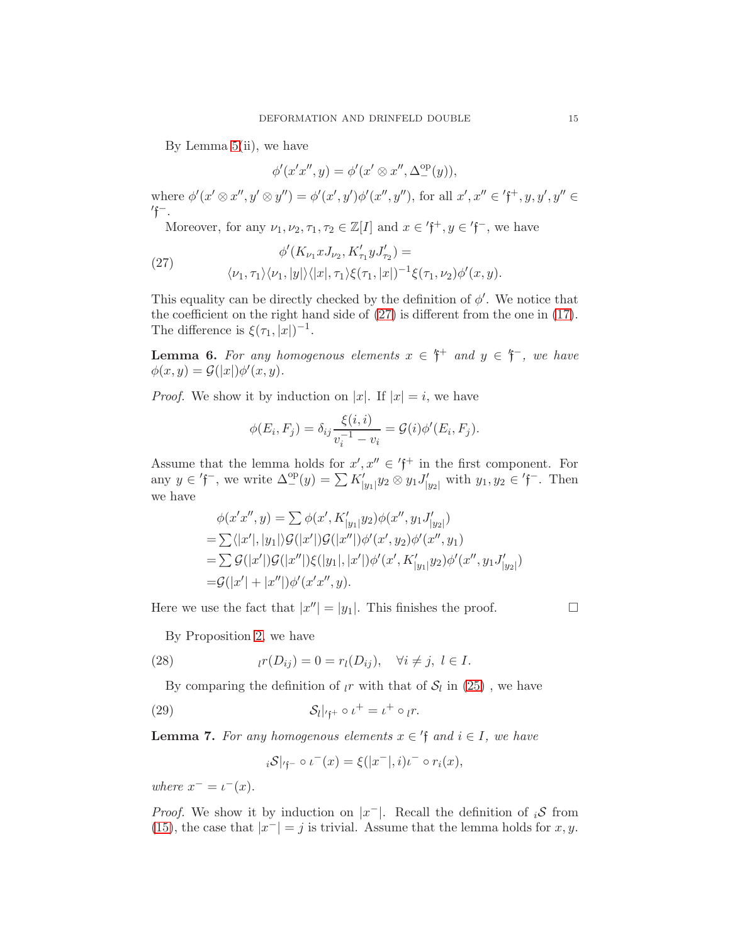By Lemma  $5(i)$ , we have

$$
\phi'(x'x'',y) = \phi'(x' \otimes x'', \Delta^{\mathrm{op}}_{-}(y)),
$$

where  $\phi'(x' \otimes x'', y' \otimes y'') = \phi'(x', y')\phi'(x'', y'')$ , for all  $x', x'' \in \mathfrak{f}^+, y, y', y'' \in \mathfrak{f}^+$  $\int f^{-}$ .

Moreover, for any  $\nu_1, \nu_2, \tau_1, \tau_2 \in \mathbb{Z}[I]$  and  $x \in \text{'f}^+, y \in \text{'f}^-,$  we have

<span id="page-14-0"></span>(27) 
$$
\phi'(K_{\nu_1}x J_{\nu_2}, K'_{\tau_1}y J'_{\tau_2}) =
$$

$$
\langle \nu_1, \tau_1 \rangle \langle \nu_1, |y| \rangle \langle |x|, \tau_1 \rangle \xi(\tau_1, |x|)^{-1} \xi(\tau_1, \nu_2) \phi'(x, y).
$$

This equality can be directly checked by the definition of  $\phi'$ . We notice that the coefficient on the right hand side of [\(27\)](#page-14-0) is different from the one in [\(17\)](#page-11-1). The difference is  $\xi(\tau_1, |x|)^{-1}$ .

<span id="page-14-4"></span>**Lemma 6.** For any homogenous elements  $x \in \mathfrak{f}^+$  and  $y \in \mathfrak{f}^-$ , we have  $\phi(x,y) = \mathcal{G}(|x|) \phi'(x,y).$ 

*Proof.* We show it by induction on |x|. If  $|x| = i$ , we have

$$
\phi(E_i, F_j) = \delta_{ij} \frac{\xi(i, i)}{v_i^{-1} - v_i} = \mathcal{G}(i)\phi'(E_i, F_j).
$$

Assume that the lemma holds for  $x', x'' \in \mathfrak{f}^+$  in the first component. For any  $y \in \mathfrak{f}^-$ , we write  $\Delta^{\text{op}}_{-}(y) = \sum K'_{|y_1|} y_2 \otimes y_1 J'_{|y_2|}$  with  $y_1, y_2 \in \mathfrak{f}^-$ . Then we have

$$
\phi(x'x'', y) = \sum \phi(x', K'_{|y_1|} y_2) \phi(x'', y_1 J'_{|y_2|})
$$
  
=  $\sum \langle |x'|, |y_1| \rangle \mathcal{G}(|x'|) \mathcal{G}(|x''|) \phi'(x', y_2) \phi'(x'', y_1)$   
=  $\sum \mathcal{G}(|x'|) \mathcal{G}(|x''|) \xi(|y_1|, |x'|) \phi'(x', K'_{|y_1|} y_2) \phi'(x'', y_1 J'_{|y_2|})$   
=  $\mathcal{G}(|x'| + |x''|) \phi'(x'x'', y).$ 

Here we use the fact that  $|x''| = |y_1|$ . This finishes the proof.

<span id="page-14-1"></span>By Proposition [2,](#page-3-2) we have

(28) 
$$
tr(D_{ij}) = 0 = r_l(D_{ij}), \quad \forall i \neq j, l \in I.
$$

By comparing the definition of  $\iota r$  with that of  $\mathcal{S}_l$  in [\(25\)](#page-13-1), we have

(29) 
$$
\mathcal{S}_l|_{\mathit{f}^+} \circ \iota^+ = \iota^+ \circ \iota^r.
$$

<span id="page-14-3"></span>**Lemma 7.** For any homogenous elements  $x \in \text{A}$  and  $i \in I$ , we have

<span id="page-14-2"></span>
$$
i\mathcal{S}|_{\mathit{r}\mathfrak{f}^{-}} \circ \iota^{-}(x) = \xi(|x^{-}|,i)\iota^{-} \circ r_{i}(x),
$$

where  $x^- = \iota^-(x)$ .

*Proof.* We show it by induction on  $|x^-|$ . Recall the definition of  $_iS$  from [\(15\)](#page-10-1), the case that  $|x^{-}| = j$  is trivial. Assume that the lemma holds for x, y.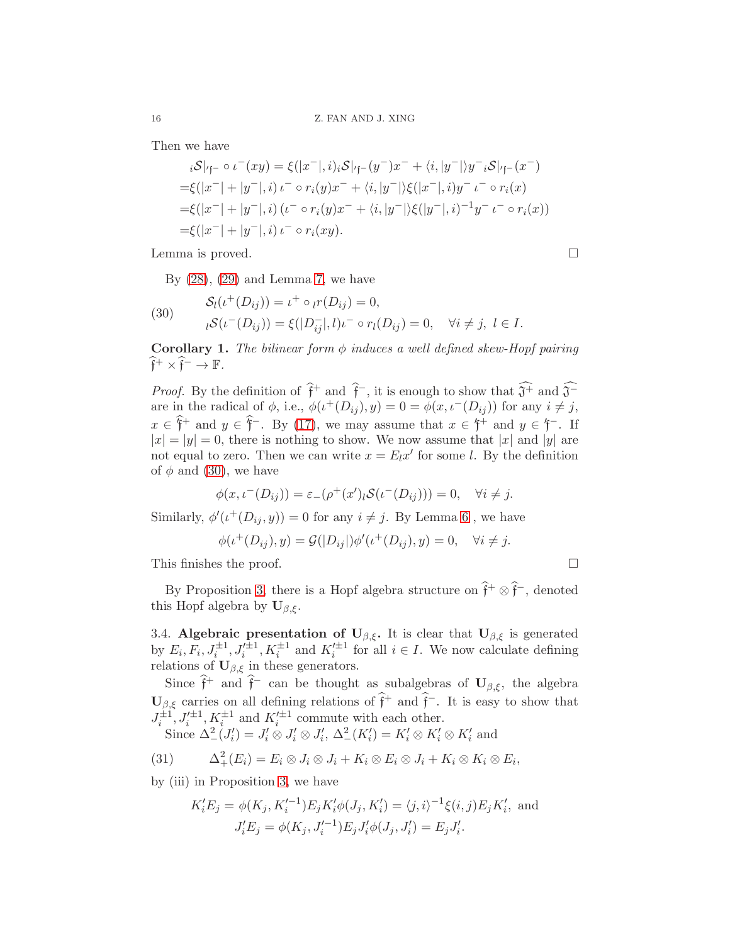Then we have

$$
{}_{i}\mathcal{S}|_{\mathfrak{f}^{-}} \circ \iota^{-}(xy) = \xi(|x^{-}|,i)_{i}\mathcal{S}|_{\mathfrak{f}^{-}}(y^{-})x^{-} + \langle i, |y^{-}| \rangle y^{-}{}_{i}\mathcal{S}|_{\mathfrak{f}^{-}}(x^{-})
$$
  
\n
$$
= \xi(|x^{-}| + |y^{-}|,i) \iota^{-} \circ r_{i}(y)x^{-} + \langle i, |y^{-}| \rangle \xi(|x^{-}|,i) y^{-} \iota^{-} \circ r_{i}(x)
$$
  
\n
$$
= \xi(|x^{-}| + |y^{-}|,i) \iota^{-} \circ r_{i}(y)x^{-} + \langle i, |y^{-}| \rangle \xi(|y^{-}|,i)^{-1}y^{-} \iota^{-} \circ r_{i}(x))
$$
  
\n
$$
= \xi(|x^{-}| + |y^{-}|,i) \iota^{-} \circ r_{i}(xy).
$$

Lemma is proved.

By  $(28)$ ,  $(29)$  and Lemma [7,](#page-14-3) we have

<span id="page-15-0"></span>(30) 
$$
\mathcal{S}_l(\iota^+(D_{ij})) = \iota^+ \circ_l r(D_{ij}) = 0, \n\iota \mathcal{S}(\iota^-(D_{ij})) = \xi(|D_{ij}^-|, l)\iota^- \circ r_l(D_{ij}) = 0, \quad \forall i \neq j, l \in I.
$$

**Corollary 1.** The bilinear form  $\phi$  induces a well defined skew-Hopf pairing  $\widehat{\mathfrak{f}}^+ \times \widehat{\mathfrak{f}}^- \to \mathbb{F}.$ 

*Proof.* By the definition of  $\hat{f}^+$  and  $\hat{f}^-$ , it is enough to show that  $\hat{J}^+$  and  $\hat{J}^$ are in the radical of  $\phi$ , i.e.,  $\phi(\iota^+(D_{ij}), y) = 0 = \phi(x, \iota^-(D_{ij}))$  for any  $i \neq j$ ,  $x \in \hat{\mathfrak{f}}^+$  and  $y \in \hat{\mathfrak{f}}^-$ . By [\(17\)](#page-11-1), we may assume that  $x \in \hat{\mathfrak{f}}^+$  and  $y \in \hat{\mathfrak{f}}^-$ . If  $|x| = |y| = 0$ , there is nothing to show. We now assume that |x| and |y| are not equal to zero. Then we can write  $x = E_l x'$  for some l. By the definition of  $\phi$  and [\(30\)](#page-15-0), we have

$$
\phi(x, \iota^{-}(D_{ij})) = \varepsilon_{-}(\rho^{+}(x')\iota S(\iota^{-}(D_{ij}))) = 0, \quad \forall i \neq j.
$$

Similarly,  $\phi'(\iota^+(D_{ij},y)) = 0$  for any  $i \neq j$ . By Lemma [6](#page-14-4), we have

$$
\phi(\iota^+(D_{ij}),y) = \mathcal{G}(|D_{ij}|)\phi'(\iota^+(D_{ij}),y) = 0, \quad \forall i \neq j.
$$

This finishes the proof.

By Proposition [3,](#page-9-1) there is a Hopf algebra structure on  $\hat{f}^+ \otimes \hat{f}^-$ , denoted this Hopf algebra by  $\mathbf{U}_{\beta,\xi}$ .

3.4. Algebraic presentation of  $U_{\beta,\xi}$ . It is clear that  $U_{\beta,\xi}$  is generated by  $E_i, F_i, J_i^{\pm 1}, J_i'^{\pm 1}, K_i^{\pm 1}$  and  $K_i'^{\pm 1}$  for all  $i \in I$ . We now calculate defining relations of  $\mathbf{U}_{\beta,\xi}$  in these generators.

Since  $\hat{\mathfrak{f}}^+$  and  $\hat{\mathfrak{f}}^-$  can be thought as subalgebras of  $\mathbf{U}_{\beta,\xi}$ , the algebra  $\mathbf{U}_{\beta,\xi}$  carries on all defining relations of  $\hat{\mathfrak{f}}^+$  and  $\hat{\mathfrak{f}}^-$ . It is easy to show that  $J_i^{\pm 1}, J_i'^{\pm 1}, K_i^{\pm 1}$  and  $K_i'^{\pm 1}$  commute with each other.

Since 
$$
\Delta^2 (J'_i) = J'_i \otimes J'_i \otimes J'_i
$$
,  $\Delta^2 (K'_i) = K'_i \otimes K'_i \otimes K'_i$  and

(31) 
$$
\Delta^2_+(E_i) = E_i \otimes J_i \otimes J_i + K_i \otimes E_i \otimes J_i + K_i \otimes K_i \otimes E_i,
$$

by (iii) in Proposition [3,](#page-9-1) we have

<span id="page-15-1"></span>
$$
K_i'E_j = \phi(K_j, K_i'^{-1})E_jK_i'\phi(J_j, K_i') = \langle j, i \rangle^{-1}\xi(i, j)E_jK_i', \text{ and}
$$

$$
J_i'E_j = \phi(K_j, J_i'^{-1})E_jJ_i'\phi(J_j, J_i') = E_jJ_i'.
$$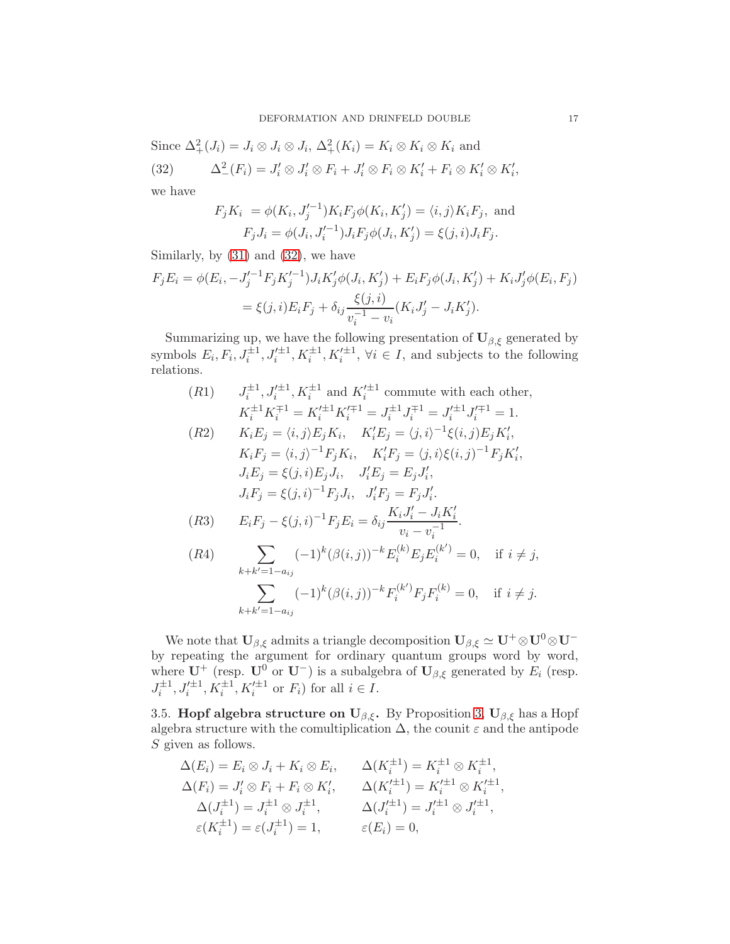Since  $\Delta^2_+(J_i) = J_i \otimes J_i \otimes J_i$ ,  $\Delta^2_+(K_i) = K_i \otimes K_i \otimes K_i$  and (32)  $\Delta^2_{-}(F_i) = J'_i \otimes J'_i \otimes F_i + J'_i \otimes F_i \otimes K'_i + F_i \otimes K'_i \otimes K'_i,$ 

we have

<span id="page-16-0"></span>
$$
F_j K_i = \phi(K_i, J'_j{}^{-1}) K_i F_j \phi(K_i, K'_j) = \langle i, j \rangle K_i F_j,
$$
 and  

$$
F_j J_i = \phi(J_i, J'_i{}^{-1}) J_i F_j \phi(J_i, K'_j) = \xi(j, i) J_i F_j.
$$

Similarly, by  $(31)$  and  $(32)$ , we have

$$
F_j E_i = \phi(E_i, -J_j'^{-1} F_j K_j'^{-1}) J_i K_j' \phi(J_i, K_j') + E_i F_j \phi(J_i, K_j') + K_i J_j' \phi(E_i, F_j)
$$
  
=  $\xi(j, i) E_i F_j + \delta_{ij} \frac{\xi(j, i)}{v_i^{-1} - v_i} (K_i J_j' - J_i K_j').$ 

Summarizing up, we have the following presentation of  $\mathbf{U}_{\beta,\xi}$  generated by symbols  $E_i, F_i, J_i^{\pm 1}, J_i'^{\pm 1}, K_i^{\pm 1}, K_i'^{\pm 1}, \forall i \in I$ , and subjects to the following relations.

(R1) 
$$
J_i^{\pm 1}, J_i^{\prime \pm 1}, K_i^{\pm 1}
$$
 and  $K_i^{\prime \pm 1}$  commute with each other,  
\n $K_i^{\pm 1} K_i^{\mp 1} = K_i^{\prime \pm 1} K_i^{\prime \mp 1} = J_i^{\pm 1} J_i^{\mp 1} = J_i^{\prime \pm 1} J_i^{\prime \mp 1} = 1.$ 

(R2) 
$$
K_i E_j = \langle i, j \rangle E_j K_i, \quad K'_i E_j = \langle j, i \rangle^{-1} \xi(i, j) E_j K'_i,
$$
  
\n $K_i F_j = \langle i, j \rangle^{-1} F_j K_i, \quad K'_i F_j = \langle j, i \rangle \xi(i, j)^{-1} F_j K'_i,$   
\n $J_i E_j = \xi(j, i) E_j J_i, \quad J'_i E_j = E_j J'_i,$   
\n $J_i F_j = \xi(j, i)^{-1} F_j J_i, \quad J'_i F_j = F_j J'_i.$   
\n(R3)  $E_i F_j - \xi(j, i)^{-1} F_j E_i = \delta_{ij} \frac{K_i J'_i - J_i K'_i}{v_i - v_i^{-1}}.$ 

$$
(R4) \qquad \sum_{k+k'=1-a_{ij}} (-1)^k (\beta(i,j))^{-k} E_i^{(k)} E_j E_i^{(k')} = 0, \quad \text{if } i \neq j,
$$

$$
\sum_{k+k'=1-a_{ij}} (-1)^k (\beta(i,j))^{-k} F_i^{(k')} F_j F_i^{(k)} = 0, \quad \text{if } i \neq j.
$$

We note that  $U_{\beta,\xi}$  admits a triangle decomposition  $U_{\beta,\xi} \simeq U^+ \otimes U^0 \otimes U^$ by repeating the argument for ordinary quantum groups word by word, where  $\mathbf{U}^+$  (resp.  $\mathbf{U}^0$  or  $\mathbf{U}^-$ ) is a subalgebra of  $\mathbf{U}_{\beta,\xi}$  generated by  $E_i$  (resp.  $J_i^{\pm 1}, J_i'^{\pm 1}, K_i^{\pm 1}, K_i'^{\pm 1}$  or  $F_i$ ) for all  $i \in I$ .

3.5. **Hopf algebra structure on U** $_{\beta,\xi}$ . By Proposition [3,](#page-9-1) **U** $_{\beta,\xi}$  has a Hopf algebra structure with the comultiplication  $\Delta$ , the counit  $\varepsilon$  and the antipode S given as follows.

$$
\Delta(E_i) = E_i \otimes J_i + K_i \otimes E_i, \qquad \Delta(K_i^{\pm 1}) = K_i^{\pm 1} \otimes K_i^{\pm 1},
$$
  
\n
$$
\Delta(F_i) = J'_i \otimes F_i + F_i \otimes K'_i, \qquad \Delta(K_i'^{\pm 1}) = K_i'^{\pm 1} \otimes K_i'^{\pm 1},
$$
  
\n
$$
\Delta(J_i^{\pm 1}) = J_i^{\pm 1} \otimes J_i^{\pm 1}, \qquad \Delta(J_i'^{\pm 1}) = J_i'^{\pm 1} \otimes J_i'^{\pm 1},
$$
  
\n
$$
\varepsilon(K_i^{\pm 1}) = \varepsilon(J_i^{\pm 1}) = 1, \qquad \varepsilon(E_i) = 0,
$$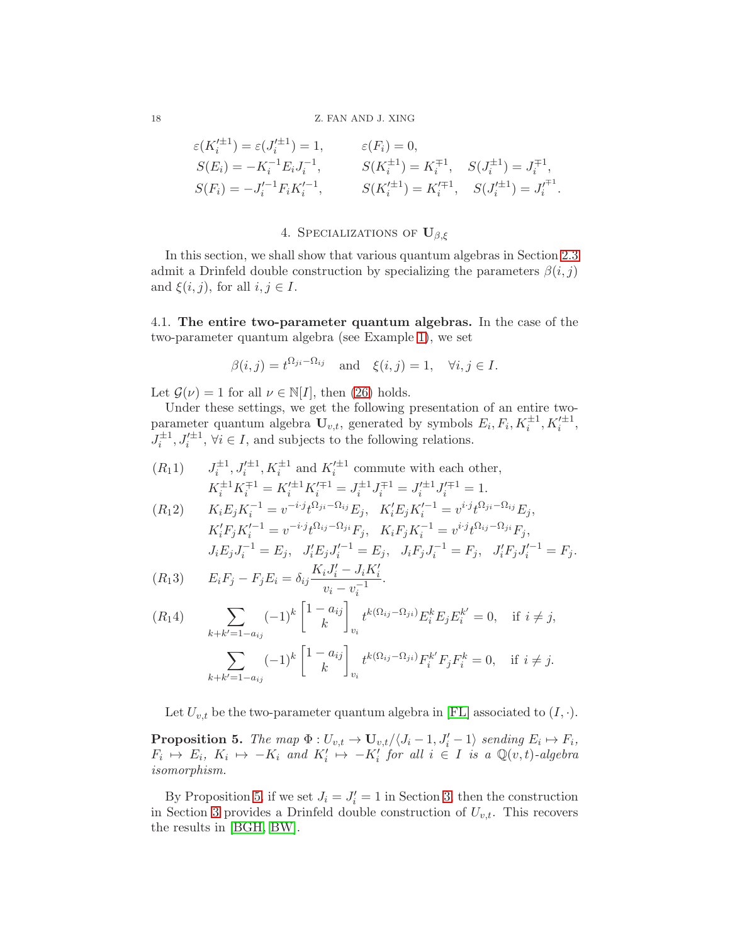### 18 Z. FAN AND J. XING

$$
\varepsilon(K_i'^{\pm 1}) = \varepsilon(J_i'^{\pm 1}) = 1, \qquad \varepsilon(F_i) = 0,
$$
  
\n
$$
S(E_i) = -K_i^{-1} E_i J_i^{-1}, \qquad S(K_i^{\pm 1}) = K_i^{\mp 1}, \quad S(J_i^{\pm 1}) = J_i^{\mp 1},
$$
  
\n
$$
S(F_i) = -J_i'^{-1} F_i K_i'^{-1}, \qquad S(K_i'^{\pm 1}) = K_i'^{\mp 1}, \quad S(J_i'^{\pm 1}) = J_i^{\mp 1}.
$$

# 4. SPECIALIZATIONS OF  $U_{\beta,\xi}$

<span id="page-17-0"></span>In this section, we shall show that various quantum algebras in Section [2.3](#page-5-5) admit a Drinfeld double construction by specializing the parameters  $\beta(i, j)$ and  $\xi(i, j)$ , for all  $i, j \in I$ .

4.1. The entire two-parameter quantum algebras. In the case of the two-parameter quantum algebra (see Example [1\)](#page-5-3), we set

$$
\beta(i,j) = t^{\Omega_{ji} - \Omega_{ij}}
$$
 and  $\xi(i,j) = 1$ ,  $\forall i, j \in I$ .

Let  $\mathcal{G}(\nu) = 1$  for all  $\nu \in \mathbb{N}[I]$ , then [\(26\)](#page-13-2) holds.

Under these settings, we get the following presentation of an entire twoparameter quantum algebra  $\mathbf{U}_{v,t}$ , generated by symbols  $E_i, F_i, K_i^{\pm 1}, K_i'^{\pm 1}$ ,  $J_i^{\pm 1}, J_i'^{\pm 1}, \forall i \in I$ , and subjects to the following relations.

 $(R_11)$  $i^{\pm 1}$ ,  $J_i'^{\pm 1}$ ,  $K_i^{\pm 1}$  and  $K_i'^{\pm 1}$  commute with each other,  $K_i^{\pm 1} K_i^{\mp 1} = K_i^{\prime \pm 1} K_i^{\prime \mp 1} = J_i^{\pm 1} J_i^{\mp 1} = J_i^{\prime \pm 1} J_i^{\prime \mp 1} = 1.$ 

$$
(R_1 2) \t K_i E_j K_i^{-1} = v^{-i} j_t^{\Omega_{ji} - \Omega_{ij}} E_j, \t K'_i E_j K'^{-1}_i = v^{i} j_t^{\Omega_{ji} - \Omega_{ij}} E_j,
$$
  
\n
$$
K'_i F_j K'^{-1}_i = v^{-i} j_t^{\Omega_{ij} - \Omega_{ji}} F_j, \t K_i F_j K_i^{-1} = v^{i} j_t^{\Omega_{ij} - \Omega_{ji}} F_j,
$$
  
\n
$$
J_i E_j J_i^{-1} = E_j, \t J'_i E_j J'_i^{-1} = E_j, \t J_i F_j J_i^{-1} = F_j, \t J'_i F_j J'_i^{-1} = F_j.
$$

$$
(R_13) \t E_iF_j - F_jE_i = \delta_{ij}\frac{K_iJ'_i - J_iK'_i}{v_i - v_i^{-1}}.
$$

$$
(R_1 4) \qquad \sum_{k+k'=1-a_{ij}} (-1)^k \begin{bmatrix} 1-a_{ij} \\ k \end{bmatrix}_{v_i} t^{k(\Omega_{ij}-\Omega_{ji})} E_i^k E_j E_i^{k'} = 0, \quad \text{if } i \neq j,
$$

$$
\sum_{k+k'=1-a_{ij}} (-1)^k \begin{bmatrix} 1-a_{ij} \\ k \end{bmatrix}_{v_i} t^{k(\Omega_{ij}-\Omega_{ji})} F_i^{k'} F_j F_i^k = 0, \quad \text{if } i \neq j.
$$

Let  $U_{v,t}$  be the two-parameter quantum algebra in [\[FL\]](#page-21-1) associated to  $(I, \cdot)$ .

<span id="page-17-1"></span>**Proposition 5.** The map  $\Phi: U_{v,t} \to \mathbf{U}_{v,t}/\langle J_i-1, J'_i-1 \rangle$  sending  $E_i \mapsto F_i$ ,  $F_i \mapsto E_i, K_i \mapsto -K_i$  and  $K'_i \mapsto -K'_i$  for all  $i \in I$  is a  $\mathbb{Q}(v, t)$ -algebra isomorphism.

By Proposition [5,](#page-17-1) if we set  $J_i = J'_i = 1$  in Section [3,](#page-8-0) then the construction in Section [3](#page-8-0) provides a Drinfeld double construction of  $U_{v,t}$ . This recovers the results in [\[BGH,](#page-21-12) [BW\]](#page-21-11).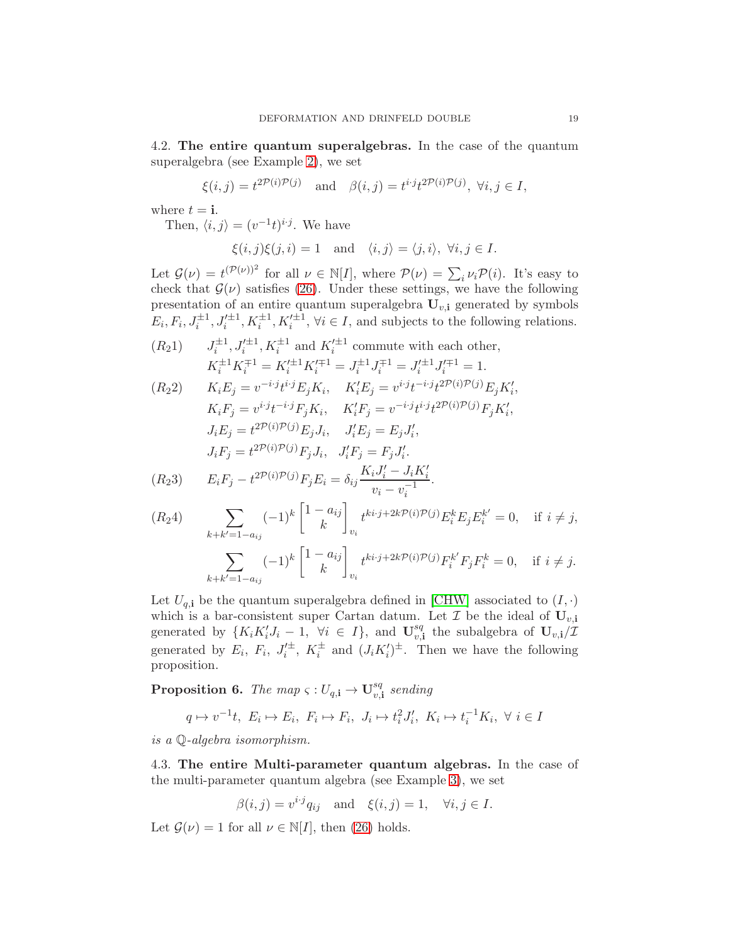4.2. The entire quantum superalgebras. In the case of the quantum superalgebra (see Example [2\)](#page-6-0), we set

$$
\xi(i,j) = t^{2\mathcal{P}(i)\mathcal{P}(j)}
$$
 and  $\beta(i,j) = t^{i \cdot j} t^{2\mathcal{P}(i)\mathcal{P}(j)}$ ,  $\forall i, j \in I$ ,

where  $t = i$ .

Then,  $\langle i, j \rangle = (v^{-1}t)^{i \cdot j}$ . We have

$$
\xi(i,j)\xi(j,i) = 1
$$
 and  $\langle i,j \rangle = \langle j,i \rangle$ ,  $\forall i,j \in I$ .

Let  $\mathcal{G}(\nu) = t^{(\mathcal{P}(\nu))^2}$  for all  $\nu \in \mathbb{N}[I]$ , where  $\mathcal{P}(\nu) = \sum_i \nu_i \mathcal{P}(i)$ . It's easy to check that  $\mathcal{G}(\nu)$  satisfies [\(26\)](#page-13-2). Under these settings, we have the following presentation of an entire quantum superalgebra  $\widetilde{\mathbf{U}_{v,i}}$  generated by symbols  $E_i, F_i, J_i^{\pm 1}, J_i'^{\pm 1}, K_i^{\pm 1}, K_i'^{\pm 1}, \forall i \in I$ , and subjects to the following relations.

$$
(R_2 1) \t J_i^{\pm 1}, J_i^{\prime \pm 1}, K_i^{\pm 1} \text{ and } K_i^{\prime \pm 1} \text{ commute with each other,}
$$
  

$$
K_i^{\pm 1} K_i^{\mp 1} = K_i^{\prime \pm 1} K_i^{\prime \mp 1} = J_i^{\pm 1} J_i^{\mp 1} = J_i^{\prime \pm 1} J_i^{\prime \mp 1} = 1.
$$

$$
(R_2 2) \t K_i E_j = v^{-i \cdot j} t^{i \cdot j} E_j K_i, \t K'_i E_j = v^{i \cdot j} t^{-i \cdot j} t^{2\mathcal{P}(i)\mathcal{P}(j)} E_j K'_i,
$$
  
\n
$$
K_i F_j = v^{i \cdot j} t^{-i \cdot j} F_j K_i, \t K'_i F_j = v^{-i \cdot j} t^{i \cdot j} t^{2\mathcal{P}(i)\mathcal{P}(j)} F_j K'_i,
$$
  
\n
$$
J_i E_j = t^{2\mathcal{P}(i)\mathcal{P}(j)} E_j J_i, \t J'_i E_j = E_j J'_i,
$$
  
\n
$$
J_i F_j = t^{2\mathcal{P}(i)\mathcal{P}(j)} F_j J_i, \t J'_i F_j = F_j J'_i.
$$

$$
(R_2 3) \t E_i F_j - t^{2\mathcal{P}(i)\mathcal{P}(j)} F_j E_i = \delta_{ij} \frac{K_i J'_i - J_i K'_i}{v_i - v_i^{-1}}.
$$

$$
(R_2 4) \qquad \sum_{k+k'=1-a_{ij}} (-1)^k \begin{bmatrix} 1-a_{ij} \\ k \end{bmatrix}_{v_i} t^{ki \cdot j + 2k \mathcal{P}(i)\mathcal{P}(j)} E_i^k E_j E_i^{k'} = 0, \quad \text{if } i \neq j,
$$

$$
\sum_{k+k'=1-a_{ij}} (-1)^k \begin{bmatrix} 1-a_{ij} \\ k \end{bmatrix}_{v_i} t^{ki \cdot j + 2k \mathcal{P}(i)\mathcal{P}(j)} F_i^{k'} F_j F_i^k = 0, \quad \text{if } i \neq j.
$$

Let  $U_{q,i}$  be the quantum superalgebra defined in [\[CHW\]](#page-21-5) associated to  $(I, \cdot)$ which is a bar-consistent super Cartan datum. Let  $\mathcal I$  be the ideal of  $\mathbf{U}_{v,i}$ generated by  $\{K_iK'_iJ_i-1, \forall i \in I\}$ , and  $\mathbf{U}_{v,i}^{sq}$  $\mathbf{v}_{v,i}^{sq}$  the subalgebra of  $\mathbf{U}_{v,i}/\mathcal{I}$ generated by  $E_i$ ,  $F_i$ ,  $J_i'^{\pm}$ ,  $K_i^{\pm}$  and  $(J_i K_i')^{\pm}$ . Then we have the following proposition.

**Proposition 6.** The map  $\varsigma: U_{q,1} \to \mathbf{U}_{q,2}^{sq}$  $_{v, \mathbf{i}}^{sq}$  sending

$$
q \mapsto v^{-1}t, \ E_i \mapsto E_i, \ F_i \mapsto F_i, \ J_i \mapsto t_i^2 J_i', \ K_i \mapsto t_i^{-1} K_i, \ \forall \ i \in I
$$

is a Q-algebra isomorphism.

4.3. The entire Multi-parameter quantum algebras. In the case of the multi-parameter quantum algebra (see Example [3\)](#page-7-0), we set

$$
\beta(i,j) = v^{i \cdot j} q_{ij} \quad \text{and} \quad \xi(i,j) = 1, \quad \forall i, j \in I.
$$

Let  $\mathcal{G}(\nu) = 1$  for all  $\nu \in \mathbb{N}[I]$ , then [\(26\)](#page-13-2) holds.

i·j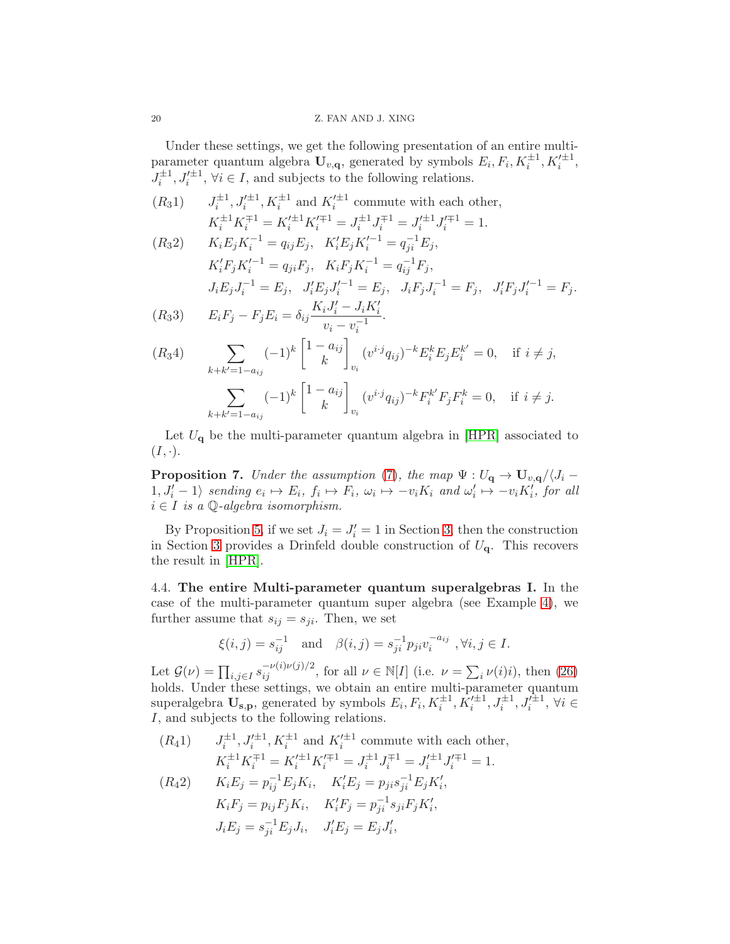### 20 Z. FAN AND J. XING

Under these settings, we get the following presentation of an entire multiparameter quantum algebra  $\mathbf{U}_{v,\mathbf{q}}$ , generated by symbols  $E_i, F_i, K_i^{\pm 1}, K_i'^{\pm 1}$ ,  $J_i^{\pm 1}, J_i'^{\pm 1}, \forall i \in I$ , and subjects to the following relations.

$$
(R_{3}1) \qquad J_{i}^{\pm 1}, J_{i}'^{\pm 1}, K_{i}^{\pm 1} \text{ and } K_{i}'^{\pm 1} \text{ commute with each other,}
$$
\n
$$
K_{i}^{\pm 1}K_{i}^{\mp 1} = K_{i}'^{\pm 1}K_{i}'^{\mp 1} = J_{i}^{\pm 1}J_{i}^{\mp 1} = J_{i}^{\pm 1}J_{i}^{\mp 1} = 1.
$$
\n
$$
(R_{3}2) \qquad K_{i}E_{j}K_{i}^{-1} = q_{ij}E_{j}, \quad K_{i}'E_{j}K_{i}'^{-1} = q_{ji}^{-1}E_{j},
$$
\n
$$
K_{i}'F_{j}K_{i}'^{-1} = q_{ji}F_{j}, \quad K_{i}F_{j}K_{i}^{-1} = q_{ij}^{-1}F_{j},
$$
\n
$$
J_{i}E_{j}J_{i}^{-1} = E_{j}, \quad J_{i}'E_{j}J_{i}'^{-1} = E_{j}, \quad J_{i}F_{j}J_{i}^{-1} = F_{j}, \quad J_{i}'F_{j}J_{i}'^{-1} = F_{j}.
$$
\n
$$
(R_{3}3) \qquad E_{i}F_{j} - F_{j}E_{i} = \delta_{ij} \frac{K_{i}J_{i}' - J_{i}K_{i}'}{v_{i} - v_{i}^{-1}}.
$$
\n
$$
(R_{3}4) \qquad \sum_{k+k'=1-a_{ij}} (-1)^{k} \begin{bmatrix} 1-a_{ij} \\ k \end{bmatrix}_{v_{i}} (v^{i \cdot j} q_{ij})^{-k} E_{i}^{k} E_{j} E_{i}^{k'} = 0, \quad \text{if } i \neq j,
$$
\n
$$
\sum_{k+k'=1-a_{ij}} (-1)^{k} \begin{bmatrix} 1-a_{ij} \\ k \end{bmatrix}_{v_{i}} (v^{i \cdot j} q_{ij})^{-k} F_{i}^{k'} F_{j} F_{i}^{k} = 0, \quad \text{if } i \neq j.
$$

Let  $U_{q}$  be the multi-parameter quantum algebra in [\[HPR\]](#page-21-6) associated to  $(I, \cdot).$ 

**Proposition 7.** Under the assumption [\(7\)](#page-7-3), the map  $\Psi: U_{\bf q} \to {\bf U}_{v,\bf q}/\langle J_i 1, J'_i - 1$  sending  $e_i \mapsto E_i$ ,  $f_i \mapsto F_i$ ,  $\omega_i \mapsto -v_i K_i$  and  $\omega'_i \mapsto -v_i K'_i$ , for all  $i \in I$  is a  $\mathbb{Q}$ -algebra isomorphism.

By Proposition [5,](#page-17-1) if we set  $J_i = J'_i = 1$  in Section [3,](#page-8-0) then the construction in Section [3](#page-8-0) provides a Drinfeld double construction of  $U_q$ . This recovers the result in [\[HPR\]](#page-21-6).

4.4. The entire Multi-parameter quantum superalgebras I. In the case of the multi-parameter quantum super algebra (see Example [4\)](#page-7-1), we further assume that  $s_{ij} = s_{ji}$ . Then, we set

$$
\xi(i,j) = s_{ij}^{-1}
$$
 and  $\beta(i,j) = s_{ji}^{-1} p_{ji} v_i^{-a_{ij}}$ ,  $\forall i, j \in I$ .

Let  $\mathcal{G}(\nu) = \prod_{i,j \in I} s_{ij}^{-\nu(i)\nu(j)/2}$ , for all  $\nu \in \mathbb{N}[I]$  (i.e.  $\nu = \sum_i \nu(i)i$ ), then [\(26\)](#page-13-2) holds. Under these settings, we obtain an entire multi-parameter quantum superalgebra  $\mathbf{U}_{\mathbf{s},\mathbf{p}}$ , generated by symbols  $E_i, F_i, K_i^{\pm 1}, K_i'^{\pm 1}, J_i^{\pm 1}, J_i^{\pm 1}, \forall i \in$ I, and subjects to the following relations.

 $(R_41)$   $J_i^{\pm 1}, J_i^{\prime \pm 1}, K_i^{\pm 1}$  and  $K_i^{\prime \pm 1}$  commute with each other,  $K_i^{\pm 1} K_i^{\mp 1} = K_i^{\prime \pm 1} K_i^{\prime \mp 1} = J_i^{\pm 1} J_i^{\mp 1} = J_i^{\prime \pm 1} J_i^{\prime \mp 1} = 1.$ 

$$
(R_42) \t K_iE_j = p_{ij}^{-1}E_jK_i, \t K'_iE_j = p_{ji}s_{ji}^{-1}E_jK'_i,
$$
  
\n
$$
K_iF_j = p_{ij}F_jK_i, \t K'_iF_j = p_{ji}^{-1}s_{ji}F_jK'_i,
$$
  
\n
$$
J_iE_j = s_{ji}^{-1}E_jJ_i, \t J'_iE_j = E_jJ'_i,
$$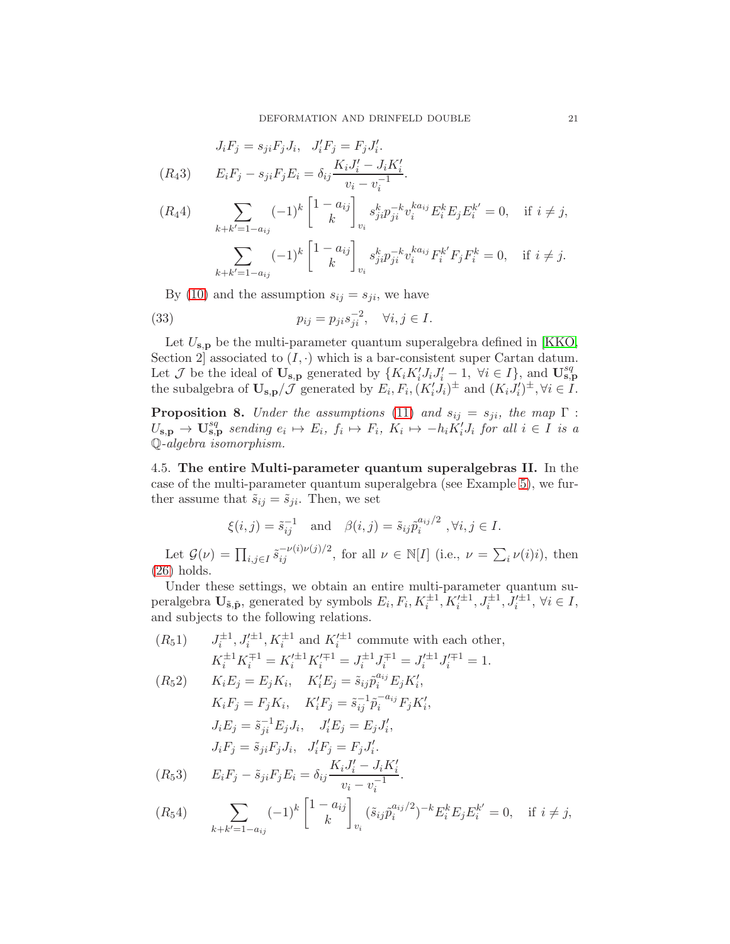$$
J_iF_j = s_{ji}F_jJ_i, \quad J'_iF_j = F_jJ'_i.
$$
  
(R43) 
$$
E_iF_j - s_{ji}F_jE_i = \delta_{ij}\frac{K_iJ'_i - J_iK'_i}{v_i - v_i^{-1}}.
$$
  
(R44) 
$$
\sum_{k+k'=1-a_{ij}} (-1)^k \begin{bmatrix} 1-a_{ij} \\ k \end{bmatrix}_{v_i} s_{ji}^k p_{ji}^{-k} v_i^{k a_{ij}} E_i^k E_j E_i^{k'} = 0, \quad \text{if } i \neq j,
$$

$$
\sum_{k+k'=1-a_{ij}} (-1)^k \begin{bmatrix} 1-a_{ij} \\ k \end{bmatrix}_{v_i} s_{ji}^k p_{ji}^{-k} v_i^{k a_{ij}} F_i^{k'} F_j F_i^k = 0, \quad \text{if } i \neq j.
$$

By [\(10\)](#page-7-7) and the assumption  $s_{ij} = s_{ji}$ , we have

(33) 
$$
p_{ij} = p_{ji} s_{ji}^{-2}, \quad \forall i, j \in I.
$$

Let  $U_{\mathbf{s},\mathbf{p}}$  be the multi-parameter quantum superalgebra defined in [\[KKO,](#page-21-7) Section 2] associated to  $(I, \cdot)$  which is a bar-consistent super Cartan datum. Let J be the ideal of  $\mathbf{U}_{\mathbf{s},\mathbf{p}}$  generated by  $\{K_iK'_iJ_iJ'_i-1, \forall i \in I\}$ , and  $\mathbf{U}_{\mathbf{s},\mathbf{p}}^{sq}$ the subalgebra of  $\mathbf{U_{s,p}}/\mathcal{J}$  generated by  $E_i, F_i, (K_i'J_i)^{\pm}$  and  $(K_iJ_i')^{\pm}, \forall i \in I$ .

**Proposition 8.** Under the assumptions [\(11\)](#page-7-6) and  $s_{ij} = s_{ji}$ , the map  $\Gamma$ :  $U_{\mathbf{s},\mathbf{p}} \rightarrow \mathbf{U}_{\mathbf{s},\mathbf{p}}^{sq}$  sending  $e_i \mapsto E_i$ ,  $f_i \mapsto F_i$ ,  $K_i \mapsto -h_i K_i' J_i$  for all  $i \in I$  is a Q-algebra isomorphism.

4.5. The entire Multi-parameter quantum superalgebras II. In the case of the multi-parameter quantum superalgebra (see Example [5\)](#page-8-1), we further assume that  $\tilde{s}_{ij} = \tilde{s}_{ji}$ . Then, we set

$$
\xi(i,j) = \tilde{s}_{ij}^{-1}
$$
 and  $\beta(i,j) = \tilde{s}_{ij}\tilde{p}_i^{a_{ij}/2}$ ,  $\forall i, j \in I$ .

Let  $\mathcal{G}(\nu) = \prod_{i,j \in I} \tilde{s}_{ij}^{-\nu(i)\nu(j)/2}$ , for all  $\nu \in \mathbb{N}[I]$  (i.e.,  $\nu = \sum_{i} \nu(i)i$ ), then [\(26\)](#page-13-2) holds.

Under these settings, we obtain an entire multi-parameter quantum superalgebra  $\mathbf{U}_{\tilde{\mathbf{s}}, \tilde{\mathbf{p}}},$  generated by symbols  $E_i, F_i, K_i^{\pm 1}, K_i'^{\pm 1}, J_i'^{\pm 1}, J_i'^{\pm 1}, \forall i \in I$ , and subjects to the following relations.

 $(R_51)$  $i^{\pm 1}$ ,  $J_i'^{\pm 1}$ ,  $K_i^{\pm 1}$  and  $K_i'^{\pm 1}$  commute with each other,  $K_i^{\pm 1} K_i^{\mp 1} = K_i^{\prime \pm 1} K_i^{\prime \mp 1} = J_i^{\pm 1} J_i^{\mp 1} = J_i^{\prime \pm 1} J_i^{\prime \mp 1} = 1.$  $(R_5 2)$   $K_i E_j = E_j K_i$ ,  $K'_i E_j = \tilde{s}_{ij} \tilde{p}_i^{a_{ij}} E_j K'_i$ ,  $K_i F_j = F_j K_i, \quad K'_i F_j = \tilde{s}_{ij}^{-1} \tilde{p}_i^{-a_{ij}} F_j K'_i,$  $J_i E_j = \tilde{s}_{ji}^{-1} E_j J_i, \quad J'_i E_j = E_j J'_i,$  $J_iF_j = \tilde{s}_{ji}F_jJ_i, \quad J'_iF_j = F_jJ'_i.$  $(E_5 3)$   $E_i F_j - \tilde{s}_{ji} F_j E_i = \delta_{ij} \frac{K_i J'_i - J_i K'_i}{-1}$  $v_i - v_i^{-1}$ .  $(R_54)$   $\sum$  $(-1)^k \left[ \frac{1 - a_{ij}}{h} \right]$ k 1  $(\tilde s_{ij}\tilde p_i^{a_{ij}/2}$  $i^{a_{ij}/2}$  $-i^{k}E_{i}^{k}E_{j}E_{i}^{k'} = 0$ , if  $i \neq j$ ,

vi

 $k+k'=1-a_{ij}$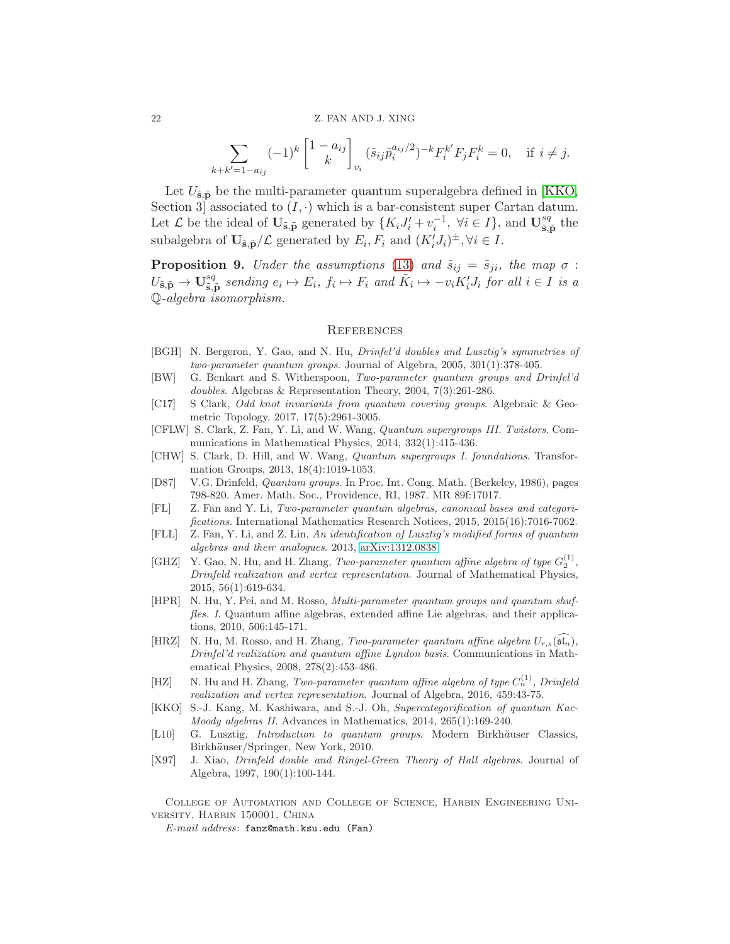$$
\sum_{k+k'=1-a_{ij}} (-1)^k \begin{bmatrix} 1-a_{ij} \\ k \end{bmatrix}_{v_i} (\tilde{s}_{ij}\tilde{p}_i^{a_{ij}/2})^{-k} F_i^{k'} F_j F_i^k = 0, \text{ if } i \neq j.
$$

Let  $U_{\tilde{\mathbf{s}},\tilde{\mathbf{p}}}$  be the multi-parameter quantum superalgebra defined in [\[KKO,](#page-21-7) Section 3 associated to  $(I, \cdot)$  which is a bar-consistent super Cartan datum. Let  $\mathcal L$  be the ideal of  $\mathbf{U}_{\tilde{\mathbf{s}}, \tilde{\mathbf{p}}}$  generated by  $\{K_i J'_i + v_i^{-1}, \ \forall i \in I\}$ , and  $\mathbf{U}_{\tilde{\mathbf{s}},j}^{sq}$  $_{\mathbf{\tilde{s},\tilde{p}}}^{sq}$  the subalgebra of  $\mathbf{U}_{\tilde{\mathbf{s}},\tilde{\mathbf{p}}}/\mathcal{L}$  generated by  $E_i, F_i$  and  $(K'_i J_i)^{\pm}, \forall i \in I$ .

**Proposition 9.** Under the assumptions [\(13\)](#page-8-3) and  $\tilde{s}_{ij} = \tilde{s}_{ji}$ , the map  $\sigma$ :  $U_{\tilde{\mathbf{s}},\tilde{\mathbf{p}}}\to \mathbf{U}_{\tilde{\mathbf{s}},\tilde{\mathbf{l}}}^{sq}$  $\tilde{\mathbf{s}}_{i}$  sending  $e_i \mapsto E_i$ ,  $f_i \mapsto F_i$  and  $\tilde{K}_i \mapsto -v_i K_i' J_i$  for all  $i \in I$  is a Q-algebra isomorphism.

### <span id="page-21-0"></span>**REFERENCES**

- <span id="page-21-12"></span>[BGH] N. Bergeron, Y. Gao, and N. Hu, Drinfel'd doubles and Lusztig's symmetries of two-parameter quantum groups. Journal of Algebra, 2005, 301(1):378-405.
- <span id="page-21-11"></span>[BW] G. Benkart and S. Witherspoon, Two-parameter quantum groups and Drinfel'd doubles. Algebras & Representation Theory, 2004, 7(3):261-286.
- <span id="page-21-4"></span>[C17] S Clark, Odd knot invariants from quantum covering groups. Algebraic & Geometric Topology, 2017, 17(5):2961-3005.
- <span id="page-21-3"></span>[CFLW] S. Clark, Z. Fan, Y. Li, and W. Wang, Quantum supergroups III. Twistors. Communications in Mathematical Physics, 2014, 332(1):415-436.
- <span id="page-21-5"></span>[CHW] S. Clark, D. Hill, and W. Wang, Quantum supergroups I. foundations. Transformation Groups, 2013, 18(4):1019-1053.
- <span id="page-21-9"></span>[D87] V.G. Drinfeld, Quantum groups. In Proc. Int. Cong. Math. (Berkeley, 1986), pages 798-820. Amer. Math. Soc., Providence, RI, 1987. MR 89f:17017.
- <span id="page-21-1"></span>[FL] Z. Fan and Y. Li, Two-parameter quantum algebras, canonical bases and categorifications. International Mathematics Research Notices, 2015, 2015(16):7016-7062.
- <span id="page-21-8"></span>[FLL] Z. Fan, Y. Li, and Z. Lin, An identification of Lusztig's modified forms of quantum algebras and their analogues. 2013, [arXiv:1312.0838.](http://arxiv.org/abs/1312.0838)
- <span id="page-21-15"></span>[GHZ] Y. Gao, N. Hu, and H. Zhang, Two-parameter quantum affine algebra of type  $G_2^{(1)}$ , Drinfeld realization and vertex representation. Journal of Mathematical Physics, 2015, 56(1):619-634.
- <span id="page-21-6"></span>[HPR] N. Hu, Y. Pei, and M. Rosso, Multi-parameter quantum groups and quantum shuffles. I. Quantum affine algebras, extended affine Lie algebras, and their applications, 2010, 506:145-171.
- <span id="page-21-13"></span>[HRZ] N. Hu, M. Rosso, and H. Zhang, Two-parameter quantum affine algebra  $U_{r,s}(\mathfrak{sl}_n)$ , Drinfel'd realization and quantum affine Lyndon basis. Communications in Mathematical Physics, 2008, 278(2):453-486.
- <span id="page-21-14"></span>[HZ] N. Hu and H. Zhang, Two-parameter quantum affine algebra of type  $C_n^{(1)}$ , Drinfeld realization and vertex representation. Journal of Algebra, 2016, 459:43-75.
- <span id="page-21-7"></span>[KKO] S.-J. Kang, M. Kashiwara, and S.-J. Oh, Supercategorification of quantum Kac-Moody algebras II. Advances in Mathematics, 2014, 265(1):169-240.
- <span id="page-21-2"></span>[L10] G. Lusztig, *Introduction to quantum groups*. Modern Birkhäuser Classics, Birkhäuser/Springer, New York, 2010.
- <span id="page-21-10"></span>[X97] J. Xiao, Drinfeld double and Ringel-Green Theory of Hall algebras. Journal of Algebra, 1997, 190(1):100-144.

College of Automation and College of Science, Harbin Engineering University, Harbin 150001, China

E-mail address: fanz@math.ksu.edu (Fan)